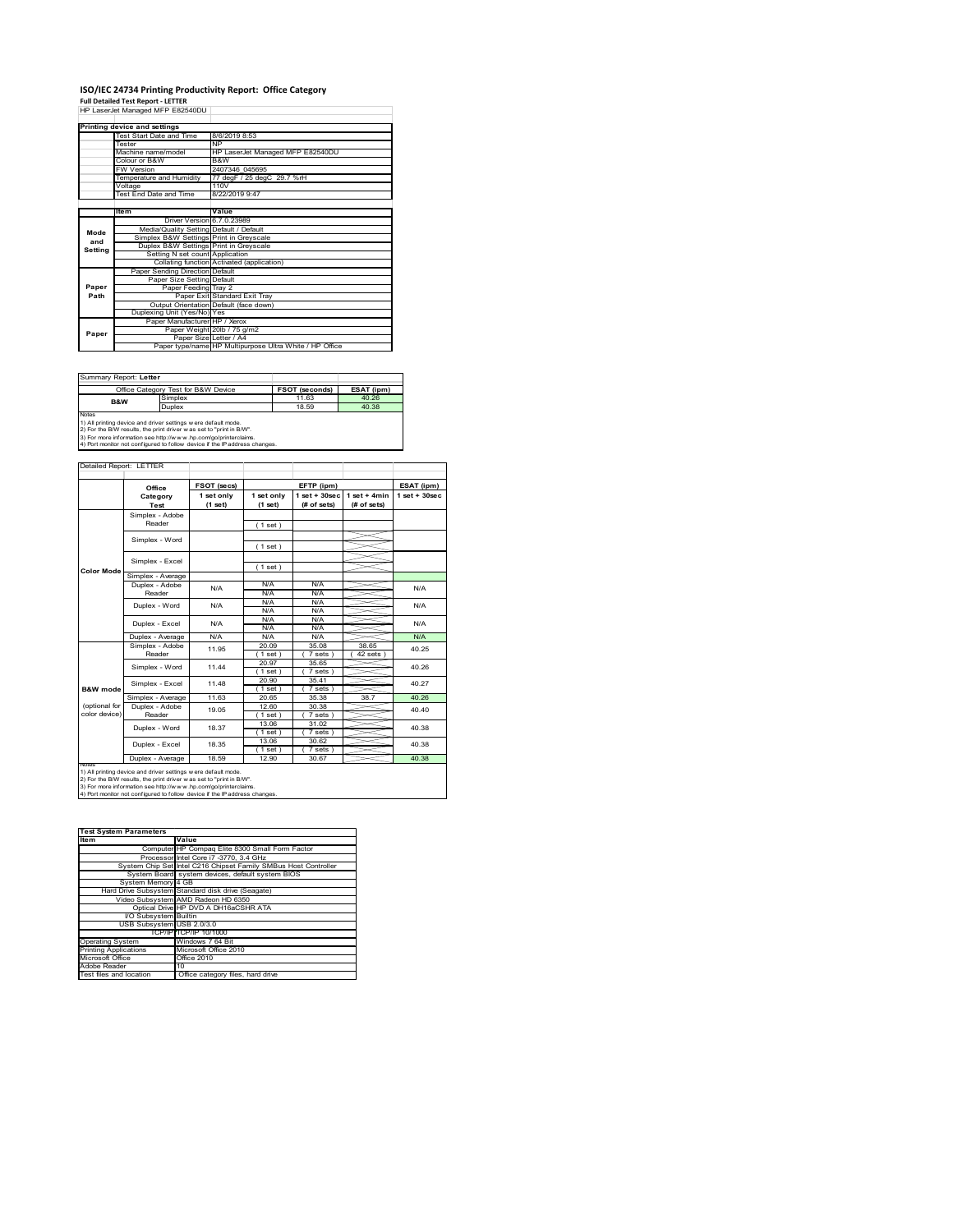## **ISO/IEC 24734 Printing Productivity Report: Office Category<br>Full Detailed Test Report - LETTER<br>HP LaserJet Managed MFP E82540DU │**

|         | Printing device and settings            |                                                         |  |  |
|---------|-----------------------------------------|---------------------------------------------------------|--|--|
|         | Test Start Date and Time                | 8/6/2019 8:53                                           |  |  |
|         | Tester                                  | <b>NP</b>                                               |  |  |
|         | Machine name/model                      | HP LaserJet Managed MFP E82540DU                        |  |  |
|         | Colour or B&W                           | B&W                                                     |  |  |
|         | <b>FW Version</b>                       | 2407346 045695                                          |  |  |
|         | Temperature and Humidity                | 77 degF / 25 degC 29.7 %rH                              |  |  |
|         | Voltage                                 | 110V                                                    |  |  |
|         | <b>Test End Date and Time</b>           | 8/22/2019 9:47                                          |  |  |
|         |                                         |                                                         |  |  |
|         | Item                                    | Value                                                   |  |  |
|         | Driver Version 6.7.0.23989              |                                                         |  |  |
| Mode    | Media/Quality Setting Default / Default |                                                         |  |  |
| and     | Simplex B&W Settings Print in Greyscale |                                                         |  |  |
| Setting | Duplex B&W Settings Print in Greyscale  |                                                         |  |  |
|         | Setting N set count Application         |                                                         |  |  |
|         |                                         | Collating function Activated (application)              |  |  |
|         | Paper Sending Direction Default         |                                                         |  |  |
|         | Paper Size Setting Default              |                                                         |  |  |
| Paper   | Paper Feeding Tray 2                    |                                                         |  |  |
| Path    |                                         | Paper Exit Standard Exit Tray                           |  |  |
|         |                                         | Output Orientation Default (face down)                  |  |  |
|         | Duplexing Unit (Yes/No) Yes             |                                                         |  |  |
|         | Paper Manufacturer HP / Xerox           |                                                         |  |  |
| Paper   |                                         | Paper Weight 20lb / 75 g/m2                             |  |  |
|         |                                         | Paper Size Letter / A4                                  |  |  |
|         |                                         | Paper type/name HP Multipurpose Ultra White / HP Office |  |  |

| Summary Report: Letter                                                     |                                                                |                       |            |  |  |
|----------------------------------------------------------------------------|----------------------------------------------------------------|-----------------------|------------|--|--|
|                                                                            | Office Category Test for B&W Device                            | <b>FSOT (seconds)</b> | ESAT (ipm) |  |  |
| B&W                                                                        | Simplex                                                        | 11.63                 | 40.26      |  |  |
|                                                                            | Duplex                                                         | 18.59                 | 40.38      |  |  |
| Notes                                                                      |                                                                |                       |            |  |  |
|                                                                            | 1) All printing device and driver settings w ere default mode. |                       |            |  |  |
| 2) For the B/W results, the print driver was set to "print in B/W".        |                                                                |                       |            |  |  |
| 3) For more information see http://www.hp.com/go/printerclaims.            |                                                                |                       |            |  |  |
| 4) Port monitor not configured to follow device if the IP address changes. |                                                                |                       |            |  |  |

|                   | Office                    | FSOT (secs)             |                       | EFTP (ipm)                     |                               | ESAT (ipm)      |
|-------------------|---------------------------|-------------------------|-----------------------|--------------------------------|-------------------------------|-----------------|
|                   | Category<br>Test          | 1 set only<br>$(1$ set) | 1 set only<br>(1 set) | $1$ set + 30sec<br>(# of sets) | $1$ set + 4min<br>(# of sets) | $1$ set + 30sec |
|                   | Simplex - Adobe           |                         |                       |                                |                               |                 |
|                   | Reader                    |                         | (1 set)               |                                |                               |                 |
|                   |                           |                         |                       |                                |                               |                 |
|                   | Simplex - Word            |                         | (1 set)               |                                |                               |                 |
|                   | Simplex - Excel           |                         |                       |                                |                               |                 |
| <b>Color Mode</b> |                           |                         | (1 set)               |                                |                               |                 |
|                   | Simplex - Average         |                         |                       |                                |                               |                 |
|                   | Duplex - Adobe            | N/A                     | N/A                   | N/A                            |                               | N/A             |
|                   | Reader                    |                         | N/A                   | N/A                            |                               |                 |
|                   | Duplex - Word             | N/A                     | N/A                   | N/A                            |                               | N/A             |
|                   |                           |                         | N/A                   | N/A                            |                               |                 |
|                   | Duplex - Excel            | N/A                     | N/A                   | N/A                            |                               | N/A             |
|                   |                           |                         | N/A                   | N/A                            |                               |                 |
|                   | Duplex - Average          | N/A                     | N/A                   | N/A                            |                               | N/A             |
|                   | Simplex - Adobe<br>Reader | 11 95                   | 20.09                 | 35.08                          | 38.65                         | 40.25           |
|                   |                           |                         | (1 set)               | 7 sets)                        | $42$ sets $)$                 |                 |
|                   | Simplex - Word            | 11 44                   | 20.97                 | 35.65                          |                               | 40.26<br>40.27  |
|                   |                           |                         | $1$ set)              | 7 sets )                       |                               |                 |
|                   | Simplex - Excel           | 11.48                   | 20.90                 | 35.41                          |                               |                 |
| B&W mode          |                           |                         | (1 set)               | 7 sets)                        |                               |                 |
|                   | Simplex - Average         | 11.63                   | 20.65                 | 35.38                          | 38.7                          | 40.26           |
| (optional for     | Duplex - Adobe            | 19.05                   | 12.60                 | 30.38                          |                               | 40.40           |
| color device)     | Reader                    |                         | (1 set)               | 7 sets)                        |                               |                 |
|                   | Duplex - Word             | 18.37                   | 13.06                 | 31.02                          |                               | 40.38           |
|                   |                           |                         | (1 set)               | 7 sets)                        |                               |                 |
|                   | Duplex - Excel            | 18.35                   | 13.06                 | 30.62                          |                               | 40.38           |
|                   |                           |                         | (1 set)               | 7 sets)                        |                               |                 |
|                   | Duplex - Average          | 18.59                   | 12.90                 | 30.67                          |                               | 40.38           |

2) For the B/W results, the print driver w as set to "print in B/W".<br>3) For more information see http://w w w .hp.com/go/printerclaims.<br>4) Port monitor not configured to follow device if the IP address changes.

| <b>Test System Parameters</b> |                                                                 |
|-------------------------------|-----------------------------------------------------------------|
| <b>Item</b>                   | Value                                                           |
|                               | Computer HP Compaq Elite 8300 Small Form Factor                 |
|                               | Processor Intel Core i7 -3770, 3.4 GHz                          |
|                               | System Chip Set Intel C216 Chipset Family SMBus Host Controller |
|                               | System Board system devices, default system BIOS                |
| System Memory 4 GB            |                                                                 |
|                               | Hard Drive Subsystem Standard disk drive (Seagate)              |
|                               | Video Subsystem AMD Radeon HD 6350                              |
|                               | Optical Drive HP DVD A DH16aCSHR ATA                            |
| VO Subsystem Builtin          |                                                                 |
| USB Subsystem USB 2.0/3.0     |                                                                 |
|                               | TCP/IP TCP/IP 10/1000                                           |
| <b>Operating System</b>       | Windows 7 64 Bit                                                |
| <b>Printing Applications</b>  | Microsoft Office 2010                                           |
| Microsoft Office              | Office 2010                                                     |
| Adobe Reader                  | 10                                                              |
| Test files and location       | Office category files, hard drive                               |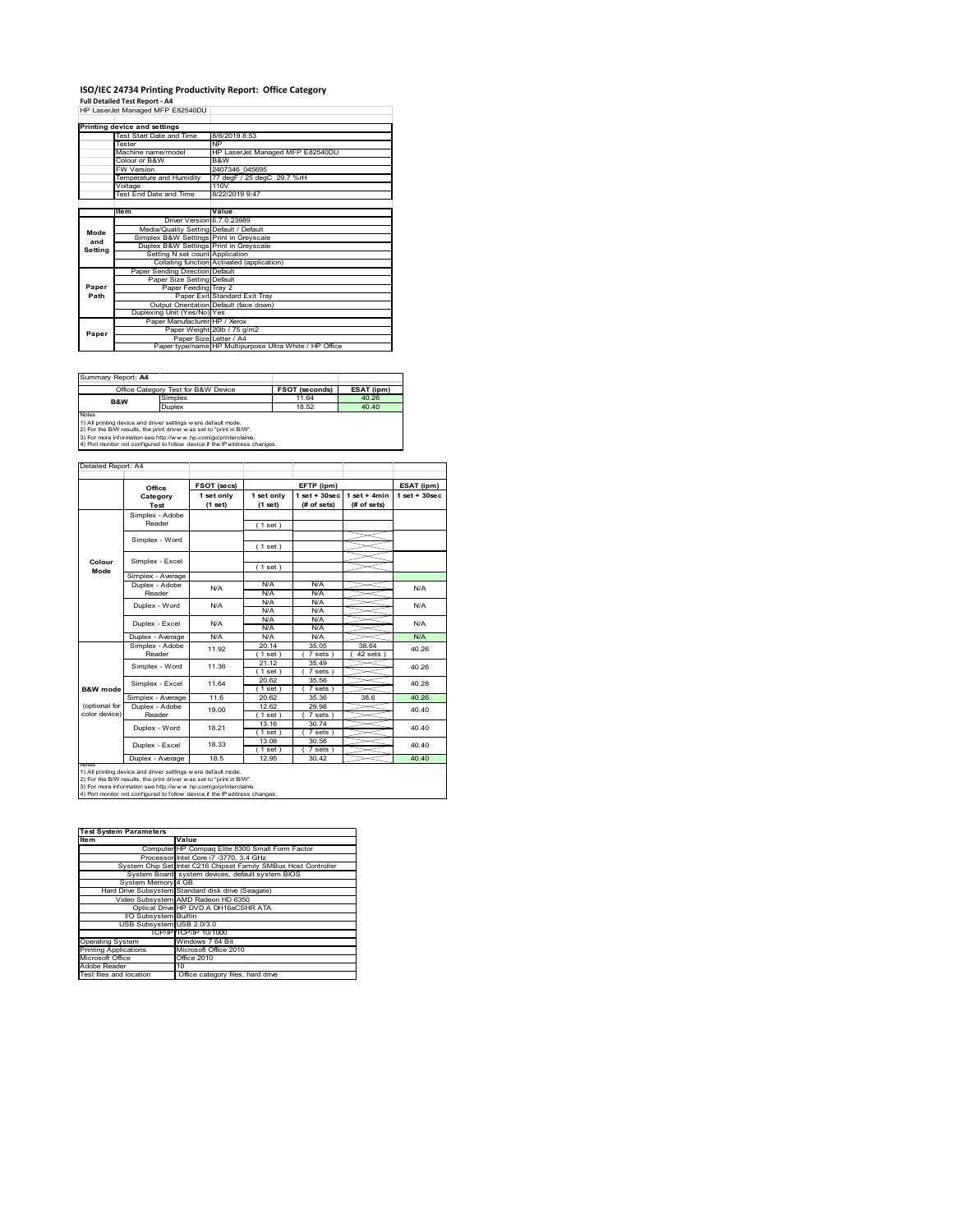# **ISO/IEC 24734 Printing Productivity Report: Office Category<br>Full Detailed Test Report - A4<br>HP LaserJet Managed MFP E82540DU |**

|         | Printing device and settings            |                                                         |  |  |
|---------|-----------------------------------------|---------------------------------------------------------|--|--|
|         | Test Start Date and Time                | 8/6/2019 8:53                                           |  |  |
|         | Tester                                  | <b>NP</b>                                               |  |  |
|         | Machine name/model                      | HP LaserJet Managed MFP E82540DU                        |  |  |
|         | Colour or B&W                           | B&W                                                     |  |  |
|         | <b>FW Version</b>                       | 2407346 045695                                          |  |  |
|         | Temperature and Humidity                | 77 degF / 25 degC 29.7 %rH                              |  |  |
|         | Voltage                                 | 110V                                                    |  |  |
|         | <b>Test End Date and Time</b>           | 8/22/2019 9:47                                          |  |  |
|         |                                         |                                                         |  |  |
|         | Item                                    | Value                                                   |  |  |
|         | Driver Version 6.7.0.23989              |                                                         |  |  |
| Mode    | Media/Quality Setting Default / Default |                                                         |  |  |
| and     | Simplex B&W Settings Print in Greyscale |                                                         |  |  |
| Setting | Duplex B&W Settings Print in Greyscale  |                                                         |  |  |
|         | Setting N set count Application         |                                                         |  |  |
|         |                                         | Collating function Activated (application)              |  |  |
|         | Paper Sending Direction Default         |                                                         |  |  |
|         | Paper Size Setting Default              |                                                         |  |  |
| Paper   | Paper Feeding Tray 2                    |                                                         |  |  |
| Path    |                                         | Paper Exit Standard Exit Tray                           |  |  |
|         |                                         | Output Orientation Default (face down)                  |  |  |
|         | Duplexing Unit (Yes/No) Yes             |                                                         |  |  |
|         | Paper Manufacturer HP / Xerox           |                                                         |  |  |
| Paper   |                                         | Paper Weight 20lb / 75 g/m2                             |  |  |
|         |                                         | Paper Size Letter / A4                                  |  |  |
|         |                                         | Paper type/name HP Multipurpose Ultra White / HP Office |  |  |

| Summary Report: A4                                                         |                                                                |                       |            |  |  |
|----------------------------------------------------------------------------|----------------------------------------------------------------|-----------------------|------------|--|--|
|                                                                            | Office Category Test for B&W Device                            | <b>FSOT (seconds)</b> | ESAT (ipm) |  |  |
| B&W                                                                        | Simplex                                                        | 11.64                 | 40.26      |  |  |
|                                                                            | Duplex                                                         | 18.52                 | 40.40      |  |  |
| Notes                                                                      |                                                                |                       |            |  |  |
|                                                                            | 1) All printing device and driver settings w ere default mode. |                       |            |  |  |
| 2) For the B/W results, the print driver was set to "print in B/W".        |                                                                |                       |            |  |  |
| 3) For more information see http://www.hp.com/go/printerclaims.            |                                                                |                       |            |  |  |
| 4) Port monitor not configured to follow device if the IP address changes. |                                                                |                       |            |  |  |

|                     | Office                    | FSOT (secs)           |                       | EFTP (ipm)                        |                               | ESAT (ipm)        |
|---------------------|---------------------------|-----------------------|-----------------------|-----------------------------------|-------------------------------|-------------------|
|                     | Category<br>Test          | 1 set only<br>(1 set) | 1 set only<br>(1 set) | $1$ set + $30$ sec<br>(# of sets) | $1$ set + 4min<br>(# of sets) | $1$ set $+30$ sec |
|                     | Simplex - Adobe           |                       |                       |                                   |                               |                   |
|                     | Reader                    |                       | (1 set)               |                                   |                               |                   |
|                     |                           |                       |                       |                                   |                               |                   |
|                     | Simplex - Word            |                       | (1 set)               |                                   |                               |                   |
| Colour              | Simplex - Excel           |                       |                       |                                   |                               |                   |
| Mode                |                           |                       | (1 set)               |                                   |                               |                   |
|                     | Simplex - Average         |                       |                       |                                   |                               |                   |
|                     | Duplex - Adobe            | N/A                   | N/A                   | N/A                               |                               | N/A               |
|                     | Reader                    |                       | N/A                   | N/A                               |                               |                   |
|                     | Duplex - Word             | N/A                   | N/A                   | N/A                               |                               | N/A               |
|                     |                           |                       | N/A                   | N/A                               |                               |                   |
|                     | Duplex - Excel            | N/A                   | N/A                   | N/A                               |                               | N/A               |
|                     |                           |                       | N/A                   | N/A                               |                               |                   |
|                     | Duplex - Average          | N/A                   | N/A                   | N/A                               |                               | N/A               |
|                     | Simplex - Adobe<br>Reader | 11.92                 | 20.14                 | 35.05                             | 38.64                         | 40.26<br>40.26    |
|                     |                           |                       | $1$ set)              | 7 sets                            | 42 sets                       |                   |
|                     | Simplex - Word            | 11.36                 | 21.12                 | 35.49                             |                               |                   |
|                     |                           |                       | (1 set)               | 7 sets                            |                               |                   |
|                     | Simplex - Excel           | 11 64                 | 20.62                 | 35.56                             |                               | 40.28             |
| <b>B&amp;W</b> mode |                           |                       | (1 set)               | 7 sets 1                          |                               |                   |
|                     | Simplex - Average         | 11.6                  | 20.62                 | 35.36                             | 38.6                          | 40.26             |
| (optional for       | Duplex - Adobe            | 19.00                 | 12.62                 | 29.98                             |                               | 40.40             |
| color device)       | Reader                    |                       | $1$ set)              | 7 sets)                           |                               |                   |
|                     | Duplex - Word             | 18 21                 | 13.16                 | 30.74                             |                               | 40.40             |
|                     |                           |                       | $1$ set)              | $7 sets$ )                        |                               |                   |
|                     | Duplex - Excel            | 18.33                 | 13.08                 | 30.56                             |                               | 40.40             |
|                     |                           |                       | $1$ set $)$           | 7 sets 1                          |                               |                   |
|                     | Duplex - Average          | 18.5                  | 12.95                 | 30.42                             |                               | 40.40             |

| <b>Test System Parameters</b> |                                                                 |
|-------------------------------|-----------------------------------------------------------------|
| <b>Item</b>                   | Value                                                           |
|                               | Computer HP Compaq Elite 8300 Small Form Factor                 |
|                               | Processor Intel Core i7 -3770, 3.4 GHz                          |
|                               | System Chip Set Intel C216 Chipset Family SMBus Host Controller |
|                               | System Board system devices, default system BIOS                |
| System Memory 4 GB            |                                                                 |
|                               | Hard Drive Subsystem Standard disk drive (Seagate)              |
|                               | Video Subsystem AMD Radeon HD 6350                              |
|                               | Optical Drive HP DVD A DH16aCSHR ATA                            |
| VO Subsystem Builtin          |                                                                 |
| USB Subsystem USB 2.0/3.0     |                                                                 |
|                               | TCP/IP TCP/IP 10/1000                                           |
| <b>Operating System</b>       | Windows 7 64 Bit                                                |
| <b>Printing Applications</b>  | Microsoft Office 2010                                           |
| Microsoft Office              | Office 2010                                                     |
| Adobe Reader                  | 10                                                              |
| Test files and location       | Office category files, hard drive                               |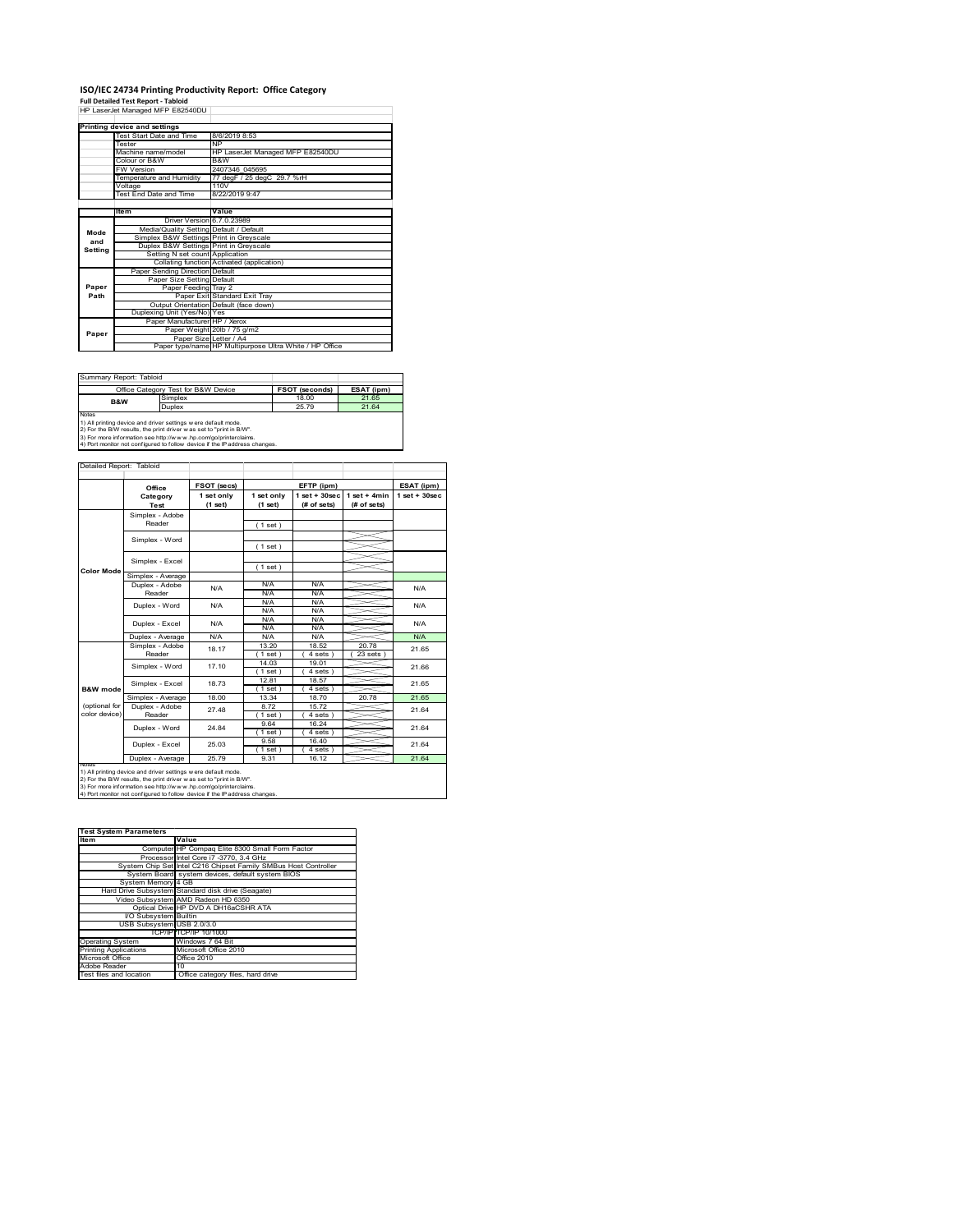## **ISO/IEC 24734 Printing Productivity Report: Office Category<br>Full Detailed Test Report - Tabloid<br>HP LaserJet Managed MFP E82540DU |**

|         | Printing device and settings            |                                                         |  |  |
|---------|-----------------------------------------|---------------------------------------------------------|--|--|
|         | Test Start Date and Time                | 8/6/2019 8:53                                           |  |  |
|         | Tester                                  | <b>NP</b>                                               |  |  |
|         | Machine name/model                      | HP LaserJet Managed MFP E82540DU                        |  |  |
|         | Colour or B&W                           | B&W                                                     |  |  |
|         | <b>FW Version</b>                       | 2407346 045695                                          |  |  |
|         | Temperature and Humidity                | 77 degF / 25 degC 29.7 %rH                              |  |  |
|         | Voltage                                 | 110V                                                    |  |  |
|         | Test End Date and Time                  | 8/22/2019 9:47                                          |  |  |
|         |                                         |                                                         |  |  |
|         | ltem                                    | Value                                                   |  |  |
|         | Driver Version 6.7.0.23989              |                                                         |  |  |
| Mode    | Media/Quality Setting Default / Default |                                                         |  |  |
| and     | Simplex B&W Settings Print in Greyscale |                                                         |  |  |
| Settina | Duplex B&W Settings Print in Greyscale  |                                                         |  |  |
|         | Setting N set count Application         |                                                         |  |  |
|         |                                         | Collating function Activated (application)              |  |  |
|         | Paper Sending Direction Default         |                                                         |  |  |
|         | Paper Size Setting Default              |                                                         |  |  |
| Paper   | Paper Feeding Tray 2                    |                                                         |  |  |
| Path    |                                         | Paper Exit Standard Exit Trav                           |  |  |
|         |                                         | Output Orientation Default (face down)                  |  |  |
|         | Duplexing Unit (Yes/No) Yes             |                                                         |  |  |
|         | Paper Manufacturer HP / Xerox           |                                                         |  |  |
| Paper   |                                         | Paper Weight 20lb / 75 g/m2                             |  |  |
|         | Paper Size Letter / A4                  |                                                         |  |  |
|         |                                         | Paper type/name HP Multipurpose Ultra White / HP Office |  |  |

| Summary Report: Tabloid                                                    |                                                                |                       |            |  |  |
|----------------------------------------------------------------------------|----------------------------------------------------------------|-----------------------|------------|--|--|
|                                                                            | Office Category Test for B&W Device                            | <b>FSOT (seconds)</b> | ESAT (ipm) |  |  |
| <b>B&amp;W</b>                                                             | Simplex                                                        | 18.00                 | 21.65      |  |  |
|                                                                            | Duplex                                                         | 25 79                 | 21.64      |  |  |
| <b>Notes</b>                                                               |                                                                |                       |            |  |  |
|                                                                            | 1) All printing device and driver settings w ere default mode. |                       |            |  |  |
| 2) For the B/W results, the print driver was set to "print in B/W".        |                                                                |                       |            |  |  |
| 3) For more information see http://www.hp.com/go/printerclaims.            |                                                                |                       |            |  |  |
| 4) Port monitor not configured to follow device if the IP address changes. |                                                                |                       |            |  |  |

|                                | Office                    | FSOT (secs)             |                       | EFTP (ipm)                     |                               | ESAT (ipm)      |
|--------------------------------|---------------------------|-------------------------|-----------------------|--------------------------------|-------------------------------|-----------------|
|                                | Category<br>Test          | 1 set only<br>$(1$ set) | 1 set only<br>(1 set) | $1$ set + 30sec<br>(# of sets) | $1$ set + 4min<br>(# of sets) | $1$ set + 30sec |
|                                | Simplex - Adobe<br>Reader |                         | (1 set)               |                                |                               |                 |
|                                | Simplex - Word            |                         | (1 set)               |                                |                               |                 |
|                                | Simplex - Excel           |                         | (1 set)               |                                |                               |                 |
| <b>Color Mode</b>              | Simplex - Average         |                         |                       |                                |                               |                 |
|                                | Duplex - Adobe<br>Reader  | N/A                     | N/A<br>N/A            | N/A<br>N/A                     |                               | N/A             |
|                                | Duplex - Word             | N/A                     | N/A<br>N/A            | N/A<br>N/A                     |                               | N/A             |
|                                | Duplex - Excel            | N/A                     | N/A<br>N/A            | N/A<br>N/A                     |                               | N/A             |
|                                | Duplex - Average          | N/A                     | N/A                   | N/A                            |                               | N/A             |
|                                | Simplex - Adobe<br>Reader | 18 17                   | 13.20<br>(1 set)      | 18.52<br>4 sets )              | 20.78<br>23 sets              | 21.65           |
|                                | Simplex - Word            | 17.10                   | 14.03<br>$1$ set)     | 19.01<br>4 sets )              |                               | 21.66           |
| B&W mode                       | Simplex - Excel           | 18.73                   | 12.81<br>(1 set )     | 18.57<br>4 sets 1              |                               | 21.65           |
|                                | Simplex - Average         | 18.00                   | 13.34                 | 18.70                          | 2078                          | 21.65           |
| (optional for<br>color device) | Duplex - Adobe<br>Reader  | 27.48                   | 8.72<br>(1 set)       | 1572<br>$4 sets$ )             |                               | 21.64           |
|                                | Duplex - Word             | 24.84                   | 9.64<br>(1 set)       | 16.24<br>$4 sets$ )            |                               | 21.64           |
|                                | Duplex - Excel            | 25.03                   | 9.58<br>(1 set)       | 16.40<br>$4 sets$ )            |                               | 21.64           |
|                                | Duplex - Average          | 25.79                   | 9.31                  | 16.12                          |                               | 21.64           |

2) For the B/W results, the print driver w as set to "print in B/W".<br>3) For more information see http://w w w .hp.com/go/printerclaims.<br>4) Port monitor not configured to follow device if the IP address changes.

| <b>Test System Parameters</b> |                                                                 |
|-------------------------------|-----------------------------------------------------------------|
| <b>Item</b>                   | Value                                                           |
|                               | Computer HP Compaq Elite 8300 Small Form Factor                 |
|                               | Processor Intel Core i7 -3770, 3.4 GHz                          |
|                               | System Chip Set Intel C216 Chipset Family SMBus Host Controller |
|                               | System Board system devices, default system BIOS                |
| System Memory 4 GB            |                                                                 |
|                               | Hard Drive Subsystem Standard disk drive (Seagate)              |
|                               | Video Subsystem AMD Radeon HD 6350                              |
|                               | Optical Drive HP DVD A DH16aCSHR ATA                            |
| VO Subsystem Builtin          |                                                                 |
| USB Subsystem USB 2.0/3.0     |                                                                 |
|                               | TCP/IP TCP/IP 10/1000                                           |
| <b>Operating System</b>       | Windows 7 64 Bit                                                |
| <b>Printing Applications</b>  | Microsoft Office 2010                                           |
| Microsoft Office              | Office 2010                                                     |
| Adobe Reader                  | 10                                                              |
| Test files and location       | Office category files, hard drive                               |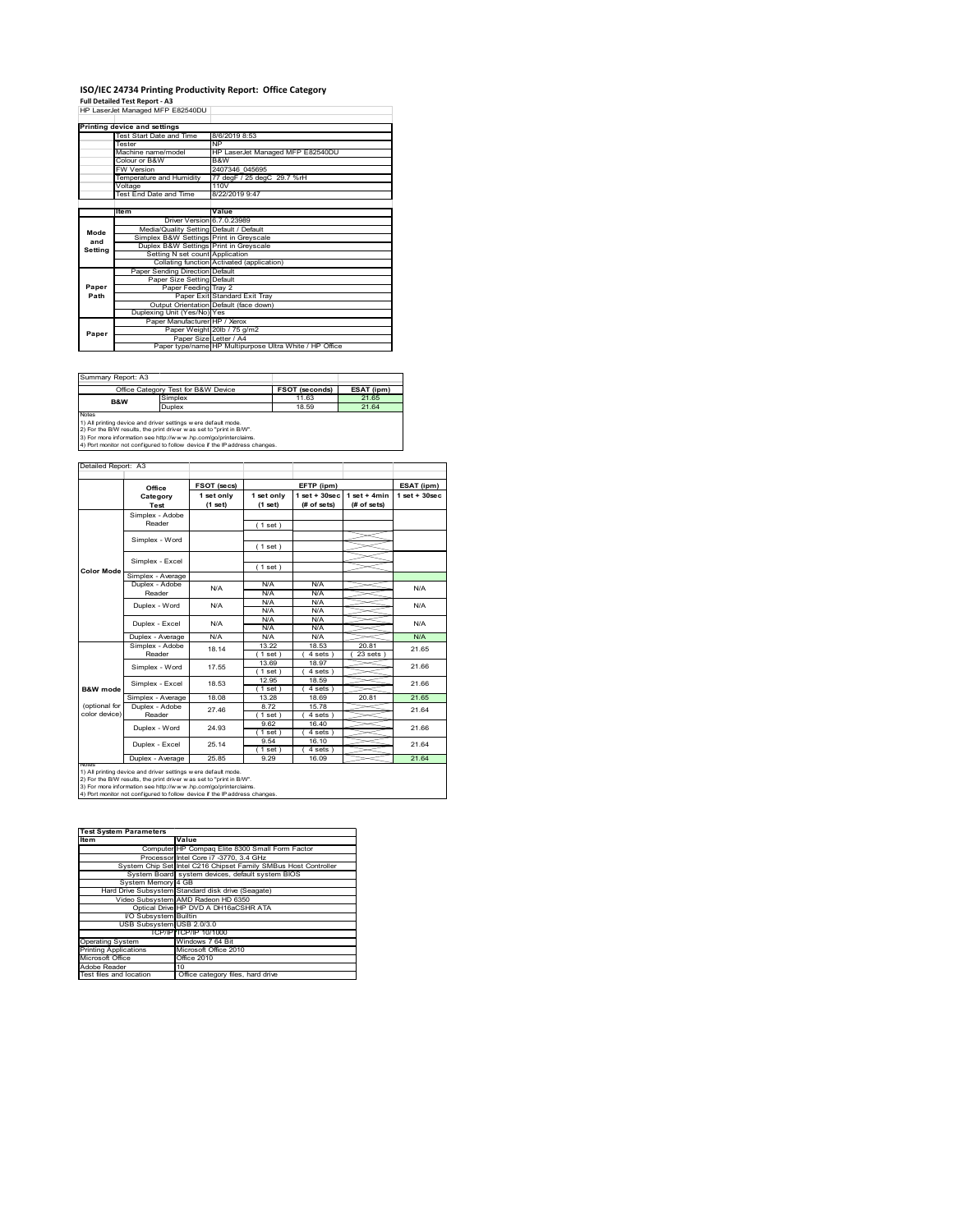# **ISO/IEC 24734 Printing Productivity Report: Office Category<br>Full Detailed Test Report - A3<br>HP LaserJet Managed MFP E82540DU |**

|         | III Lasciuctivianaged IVIII LUZUTUDU    |                                                         |
|---------|-----------------------------------------|---------------------------------------------------------|
|         | Printing device and settings            |                                                         |
|         | Test Start Date and Time                | 8/6/2019 8:53                                           |
|         | Tester                                  | <b>NP</b>                                               |
|         | Machine name/model                      | HP LaserJet Managed MFP E82540DU                        |
|         | Colour or B&W                           | B&W                                                     |
|         | <b>FW Version</b>                       | 2407346 045695                                          |
|         | Temperature and Humidity                | 77 degF / 25 degC 29.7 %rH                              |
|         | Voltage                                 | 110V                                                    |
|         | Test End Date and Time                  | 8/22/2019 9:47                                          |
|         |                                         |                                                         |
|         | ltem                                    | Value                                                   |
|         | Driver Version 6.7.0.23989              |                                                         |
| Mode    | Media/Quality Setting Default / Default |                                                         |
| and     | Simplex B&W Settings Print in Greyscale |                                                         |
| Setting | Duplex B&W Settings Print in Greyscale  |                                                         |
|         | Setting N set count Application         |                                                         |
|         |                                         | Collating function Activated (application)              |
|         | Paper Sending Direction Default         |                                                         |
|         | Paper Size Setting Default              |                                                         |
| Paper   | Paper Feeding Tray 2                    |                                                         |
| Path    |                                         | Paper Exit Standard Exit Tray                           |
|         |                                         | Output Orientation Default (face down)                  |
|         | Duplexing Unit (Yes/No) Yes             |                                                         |
|         | Paper Manufacturer HP / Xerox           |                                                         |
| Paper   |                                         | Paper Weight 20lb / 75 g/m2                             |
|         |                                         | Paper Size Letter / A4                                  |
|         |                                         | Paper type/name HP Multipurpose Ultra White / HP Office |

| Summary Report: A3 |                                                                                                                                       |                       |            |
|--------------------|---------------------------------------------------------------------------------------------------------------------------------------|-----------------------|------------|
|                    | Office Category Test for B&W Device                                                                                                   | <b>FSOT (seconds)</b> | ESAT (ipm) |
| <b>B&amp;W</b>     | Simplex                                                                                                                               | 11.63                 | 21.65      |
|                    | Duplex                                                                                                                                | 18.59                 | 21.64      |
| <b>Notes</b>       | 1) All printing device and driver settings w ere default mode.<br>2) For the B/W results, the print driver was set to "print in B/W". |                       |            |

2) For the B/W results, the print driver w as set to "print in B/W".<br>3) For more information see http://w w w .hp.com/go/printerclaims.<br>4) Port monitor not configured to follow device if the IP address changes.

|                     | Office            | FSOT (secs)           |                       | EFTP (ipm)                        |                               | ESAT (ipm)        |
|---------------------|-------------------|-----------------------|-----------------------|-----------------------------------|-------------------------------|-------------------|
|                     | Category<br>Test  | 1 set only<br>(1 set) | 1 set only<br>(1 set) | $1$ set + $30$ sec<br>(# of sets) | $1$ set + 4min<br>(# of sets) | $1$ set $+30$ sec |
|                     | Simplex - Adobe   |                       |                       |                                   |                               |                   |
|                     | Reader            |                       | (1 set)               |                                   |                               |                   |
|                     |                   |                       |                       |                                   |                               |                   |
|                     | Simplex - Word    |                       | (1 set)               |                                   |                               |                   |
|                     | Simplex - Excel   |                       |                       |                                   |                               |                   |
| <b>Color Mode</b>   |                   |                       | (1 set)               |                                   |                               |                   |
|                     | Simplex - Average |                       |                       |                                   |                               |                   |
|                     | Duplex - Adobe    | N/A                   | N/A                   | N/A                               |                               | N/A               |
|                     | Reader            |                       | N/A                   | N/A                               |                               |                   |
|                     | Duplex - Word     | N/A                   | N/A                   | N/A                               |                               | N/A               |
|                     |                   |                       | N/A                   | N/A                               |                               |                   |
|                     | Duplex - Excel    | N/A                   | N/A                   | N/A                               |                               | N/A               |
|                     |                   |                       | N/A                   | N/A                               |                               |                   |
|                     | Duplex - Average  | N/A                   | N/A                   | N/A                               |                               | N/A               |
|                     | Simplex - Adobe   | 18 14                 | 13.22                 | 18.53                             | 20.81                         | 21.65             |
|                     | Reader            |                       | $1$ set)              | 4 sets                            | $23$ sets                     |                   |
|                     | Simplex - Word    | 17.55                 | 13.69                 | 18.97                             |                               | 21.66             |
|                     |                   |                       | 1 set                 | 4 sets                            |                               |                   |
|                     | Simplex - Excel   | 18.53                 | 12.95                 | 18.59                             |                               | 21.66             |
| <b>B&amp;W</b> mode |                   |                       | (1 set)               | 4 sets                            |                               |                   |
|                     | Simplex - Average | 18.08                 | 13.28                 | 18.69                             | 20.81                         | 21.65             |
| (optional for       | Duplex - Adobe    | 27.46                 | 872                   | 15 78                             |                               | 21.64             |
| color device)       | Reader            |                       | $1$ set $)$           | $4 sets$ )                        |                               |                   |
|                     | Duplex - Word     | 24 93                 | 9.62                  | 16.40                             |                               | 21.66             |
|                     |                   |                       | $1$ set $)$           | 4 sets                            |                               |                   |
|                     | Duplex - Excel    | 25 14                 | 9.54                  | 16.10                             |                               | 21.64             |
|                     |                   |                       | $1$ set $1$           | 4 sets                            |                               |                   |
|                     | Duplex - Average  | 25.85                 | 9.29                  | 16.09                             |                               | 21.64             |

| <b>Test System Parameters</b> |                                                                 |
|-------------------------------|-----------------------------------------------------------------|
| Item                          | Value                                                           |
|                               | Computer HP Compaq Elite 8300 Small Form Factor                 |
|                               | Processor Intel Core i7 -3770, 3.4 GHz                          |
|                               | System Chip Set Intel C216 Chipset Family SMBus Host Controller |
|                               | System Board system devices, default system BIOS                |
| System Memory 4 GB            |                                                                 |
|                               | Hard Drive Subsystem Standard disk drive (Seagate)              |
|                               | Video Subsystem AMD Radeon HD 6350                              |
|                               | Optical Drive HP DVD A DH16aCSHR ATA                            |
| VO Subsystem Builtin          |                                                                 |
| USB Subsystem USB 2.0/3.0     |                                                                 |
|                               | TCP/IP TCP/IP 10/1000                                           |
| <b>Operating System</b>       | Windows 7 64 Bit                                                |
| <b>Printing Applications</b>  | Microsoft Office 2010                                           |
| Microsoft Office              | Office 2010                                                     |
| Adobe Reader                  | 10                                                              |
| Test files and location       | Office category files, hard drive                               |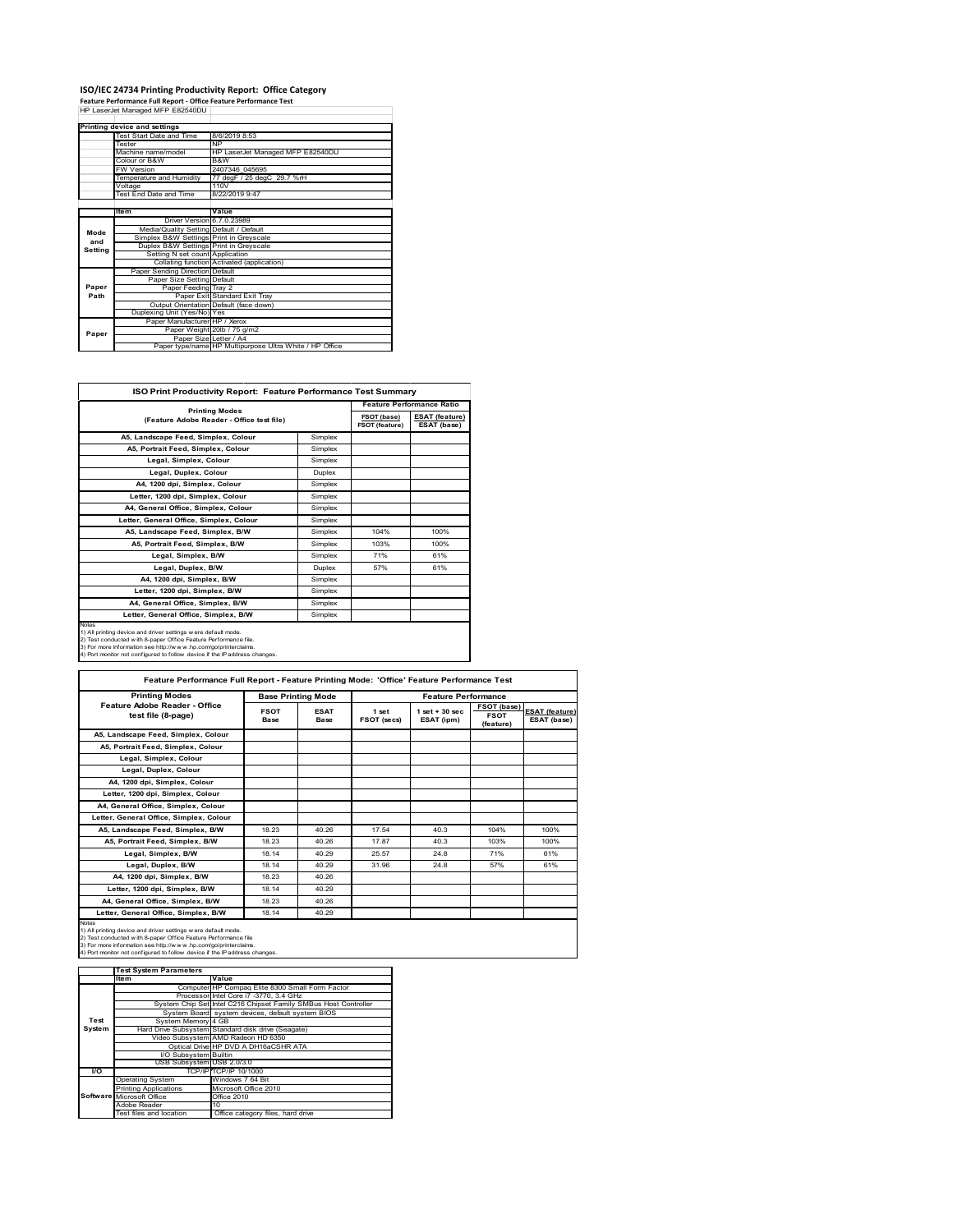## **ISO/IEC 24734 Printing Productivity Report: Office Category<br>Feature Performance Full Report - Office Feature Performance Test<br>HP LaserJet Managed MFP E82540DU |**

|         | Printing device and settings            |                                                         |  |  |  |
|---------|-----------------------------------------|---------------------------------------------------------|--|--|--|
|         | Test Start Date and Time                | 8/6/2019 8:53                                           |  |  |  |
|         | Tester                                  | <b>NP</b>                                               |  |  |  |
|         | Machine name/model                      | HP LaserJet Managed MFP E82540DU                        |  |  |  |
|         | Colour or B&W                           | B&W                                                     |  |  |  |
|         | <b>FW Version</b>                       | 2407346 045695                                          |  |  |  |
|         | Temperature and Humidity                | 77 degF / 25 degC 29.7 %rH                              |  |  |  |
|         | Voltage                                 | 110V                                                    |  |  |  |
|         | Test End Date and Time                  | 8/22/2019 9:47                                          |  |  |  |
|         |                                         |                                                         |  |  |  |
|         | Item                                    | Value                                                   |  |  |  |
|         | Driver Version 6.7.0.23989              |                                                         |  |  |  |
| Mode    | Media/Quality Setting Default / Default |                                                         |  |  |  |
| and     | Simplex B&W Settings Print in Greyscale |                                                         |  |  |  |
| Setting | Duplex B&W Settings Print in Greyscale  |                                                         |  |  |  |
|         | Setting N set count Application         |                                                         |  |  |  |
|         |                                         | Collating function Activated (application)              |  |  |  |
|         | Paper Sending Direction Default         |                                                         |  |  |  |
|         | Paper Size Setting Default              |                                                         |  |  |  |
| Paper   | Paper Feeding Tray 2                    |                                                         |  |  |  |
| Path    |                                         | Paper Exit Standard Exit Tray                           |  |  |  |
|         |                                         | Output Orientation Default (face down)                  |  |  |  |
|         | Duplexing Unit (Yes/No) Yes             |                                                         |  |  |  |
|         | Paper Manufacturer HP / Xerox           |                                                         |  |  |  |
| Paper   |                                         | Paper Weight 20lb / 75 g/m2                             |  |  |  |
|         |                                         | Paper Size Letter / A4                                  |  |  |  |
|         |                                         | Paper type/name HP Multipurpose Ultra White / HP Office |  |  |  |

| <b>ISO Print Productivity Report: Feature Performance Test Summary</b>                                                                                                                                                                                                                      |         |                                      |                                      |
|---------------------------------------------------------------------------------------------------------------------------------------------------------------------------------------------------------------------------------------------------------------------------------------------|---------|--------------------------------------|--------------------------------------|
| <b>Printing Modes</b>                                                                                                                                                                                                                                                                       |         |                                      | <b>Feature Performance Ratio</b>     |
| (Feature Adobe Reader - Office test file)                                                                                                                                                                                                                                                   |         | FSOT (base)<br><b>FSOT (feature)</b> | <b>ESAT (feature)</b><br>ESAT (base) |
| A5, Landscape Feed, Simplex, Colour                                                                                                                                                                                                                                                         | Simplex |                                      |                                      |
| A5, Portrait Feed, Simplex, Colour                                                                                                                                                                                                                                                          | Simplex |                                      |                                      |
| Legal, Simplex, Colour                                                                                                                                                                                                                                                                      | Simplex |                                      |                                      |
| Legal, Duplex, Colour                                                                                                                                                                                                                                                                       | Duplex  |                                      |                                      |
| A4, 1200 dpi, Simplex, Colour                                                                                                                                                                                                                                                               | Simplex |                                      |                                      |
| Letter, 1200 dpi, Simplex, Colour                                                                                                                                                                                                                                                           | Simplex |                                      |                                      |
| A4, General Office, Simplex, Colour                                                                                                                                                                                                                                                         | Simplex |                                      |                                      |
| Letter, General Office, Simplex, Colour                                                                                                                                                                                                                                                     | Simplex |                                      |                                      |
| A5, Landscape Feed, Simplex, B/W                                                                                                                                                                                                                                                            | Simplex | 104%                                 | 100%                                 |
| A5. Portrait Feed. Simplex. B/W                                                                                                                                                                                                                                                             | Simplex | 103%                                 | 100%                                 |
| Legal, Simplex, B/W                                                                                                                                                                                                                                                                         | Simplex | 71%                                  | 61%                                  |
| Legal, Duplex, B/W                                                                                                                                                                                                                                                                          | Duplex  | 57%                                  | 61%                                  |
| A4, 1200 dpi, Simplex, B/W                                                                                                                                                                                                                                                                  | Simplex |                                      |                                      |
| Letter, 1200 dpi, Simplex, B/W                                                                                                                                                                                                                                                              | Simplex |                                      |                                      |
| A4, General Office, Simplex, B/W                                                                                                                                                                                                                                                            | Simplex |                                      |                                      |
| Letter, General Office, Simplex, B/W                                                                                                                                                                                                                                                        | Simplex |                                      |                                      |
| Notes<br>1) All printing device and driver settings w ere default mode.<br>2) Test conducted with 8-paper Office Feature Performance file.<br>3) For more information see http://www.hp.com/go/printerclaims.<br>4) Port monitor not configured to follow device if the IP address changes. |         |                                      |                                      |

| <b>Printing Modes</b>                               |                     | <b>Base Printing Mode</b> |                      | <b>Feature Performance</b>       |                                         |                                      |
|-----------------------------------------------------|---------------------|---------------------------|----------------------|----------------------------------|-----------------------------------------|--------------------------------------|
| Feature Adobe Reader - Office<br>test file (8-page) | <b>FSOT</b><br>Base | <b>ESAT</b><br>Base       | 1 set<br>FSOT (secs) | $1$ set $+30$ sec.<br>ESAT (ipm) | FSOT (base)<br><b>FSOT</b><br>(feature) | <b>ESAT (feature)</b><br>ESAT (base) |
| A5. Landscape Feed. Simplex. Colour                 |                     |                           |                      |                                  |                                         |                                      |
| A5, Portrait Feed, Simplex, Colour                  |                     |                           |                      |                                  |                                         |                                      |
| Legal, Simplex, Colour                              |                     |                           |                      |                                  |                                         |                                      |
| Legal, Duplex, Colour                               |                     |                           |                      |                                  |                                         |                                      |
| A4, 1200 dpi, Simplex, Colour                       |                     |                           |                      |                                  |                                         |                                      |
| Letter, 1200 dpi, Simplex, Colour                   |                     |                           |                      |                                  |                                         |                                      |
| A4. General Office. Simplex. Colour                 |                     |                           |                      |                                  |                                         |                                      |
| Letter, General Office, Simplex, Colour             |                     |                           |                      |                                  |                                         |                                      |
| A5. Landscape Feed. Simplex. B/W                    | 18.23               | 40.26                     | 17.54                | 40.3                             | 104%                                    | 100%                                 |
| A5, Portrait Feed, Simplex, B/W                     | 18.23               | 40.26                     | 17.87                | 40.3                             | 103%                                    | 100%                                 |
| Legal, Simplex, B/W                                 | 18 14               | 40.29                     | 25.57                | 24.8                             | 71%                                     | 61%                                  |
| Legal, Duplex, B/W                                  | 18.14               | 40.29                     | 31.96                | 24.8                             | 57%                                     | 61%                                  |
| A4. 1200 dpi. Simplex. B/W                          | 18.23               | 40.26                     |                      |                                  |                                         |                                      |
| Letter, 1200 dpi, Simplex, B/W                      | 18 14               | 40.29                     |                      |                                  |                                         |                                      |
| A4. General Office. Simplex. B/W                    | 18.23               | 40.26                     |                      |                                  |                                         |                                      |
| Letter, General Office, Simplex, B/W                | 18.14               | 40.29                     |                      |                                  |                                         |                                      |

|               | <b>Test System Parameters</b> |                                                                 |
|---------------|-------------------------------|-----------------------------------------------------------------|
|               | Item                          | Value                                                           |
|               |                               | Computer HP Compaq Elite 8300 Small Form Factor                 |
|               |                               | Processor Intel Core i7 -3770, 3.4 GHz                          |
|               |                               | System Chip Set Intel C216 Chipset Family SMBus Host Controller |
|               |                               | System Board system devices, default system BIOS                |
| Test          | System Memory 4 GB            |                                                                 |
| <b>System</b> |                               | Hard Drive Subsystem Standard disk drive (Seagate)              |
|               |                               | Video Subsystem AMD Radeon HD 6350                              |
|               |                               | Optical Drive HP DVD A DH16aCSHR ATA                            |
|               | I/O Subsystem Builtin         |                                                                 |
|               | USB Subsystem USB 2.0/3.0     |                                                                 |
| VO.           |                               | TCP/IPITCP/IP 10/1000                                           |
|               | <b>Operating System</b>       | Windows 7 64 Bit                                                |
|               | <b>Printing Applications</b>  | Microsoft Office 2010                                           |
|               | Software Microsoft Office     | Office 2010                                                     |
|               | Adobe Reader                  | 10                                                              |
|               | Test files and location       | Office category files, hard drive                               |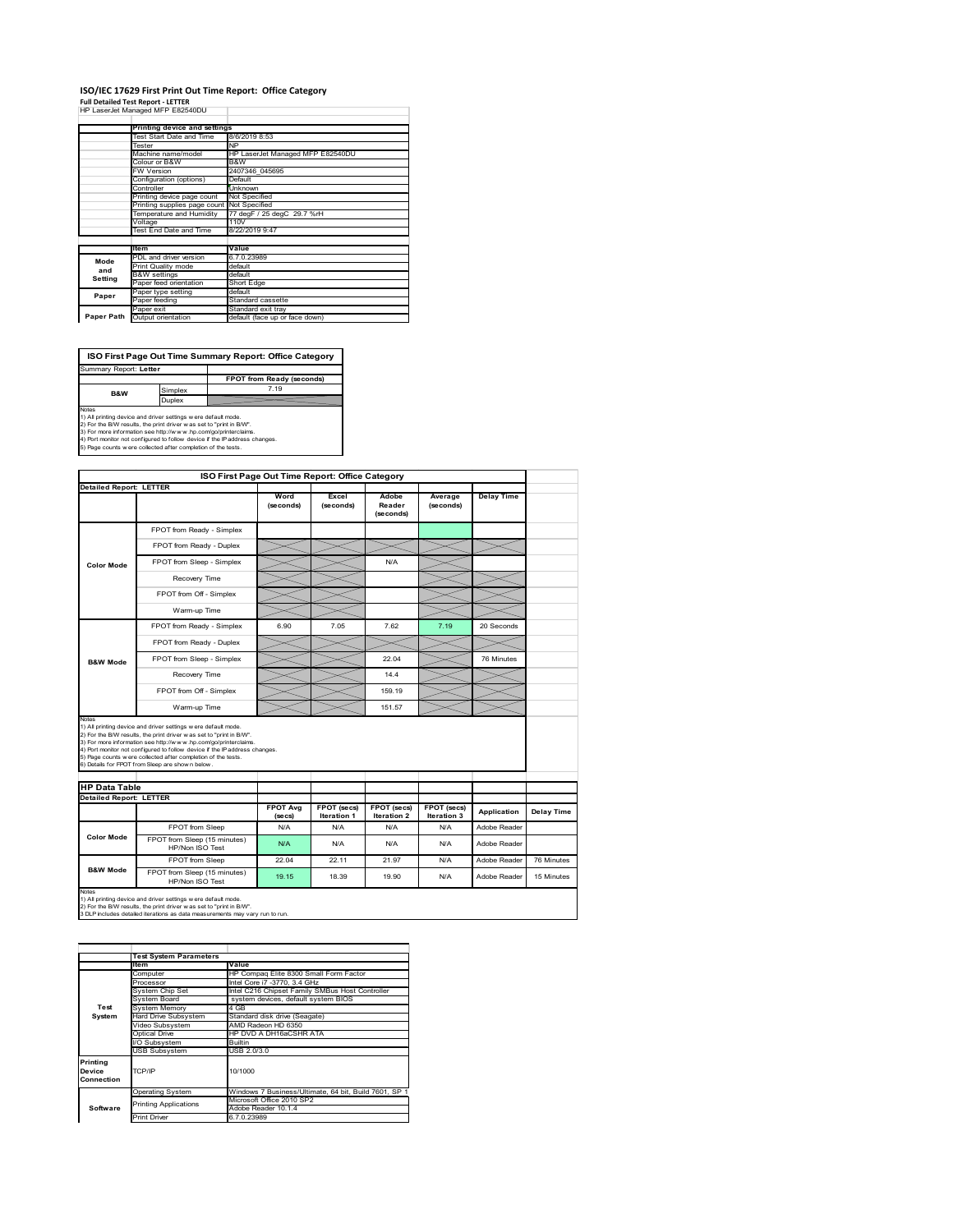#### **ISO/IEC 17629 First Print Out Time Report: Office Category Full Detailed Test Report ‐ LETTER** HP LaserJet Managed MFP E82540DU  $\overline{1}$

|            | Printing device and settings               |                                  |
|------------|--------------------------------------------|----------------------------------|
|            | Test Start Date and Time                   | 8/6/2019 8:53                    |
|            | Tester                                     | <b>NP</b>                        |
|            | Machine name/model                         | HP LaserJet Managed MFP E82540DU |
|            | Colour or B&W                              | B&W                              |
|            | <b>FW Version</b>                          | 2407346 045695                   |
|            | Configuration (options)                    | Default                          |
|            | Controller                                 | <b>Unknown</b>                   |
|            | Printing device page count                 | Not Specified                    |
|            | Printing supplies page count Not Specified |                                  |
|            | Temperature and Humidity                   | 77 degF / 25 degC 29.7 %rH       |
|            | Voltage                                    | 110V                             |
|            | <b>Test End Date and Time</b>              | 8/22/2019 9:47                   |
|            |                                            |                                  |
|            | ltem                                       | Value                            |
| Mode       | PDL and driver version                     | 6.7.0.23989                      |
| and        | Print Quality mode                         | default                          |
| Setting    | <b>B&amp;W</b> settings                    | default                          |
|            | Paper feed orientation                     | Short Edge                       |
| Paper      | Paper type setting                         | default                          |
|            | Paper feeding                              | Standard cassette                |
|            | Paper exit                                 | Standard exit tray               |
| Paper Path | Output orientation                         | default (face up or face down)   |

**ISO First Page Out Time Summary Report: Office Category**

**FPOT from Ready (seconds)** Simplex Duplex Summary Report: **Letter** Notes<br>1) All printing device and driver settings were default mode.<br>2) For the BW results, the print driver was set to "print in BW".<br>3) For more information see http://www.hp.com/golprinterclaims.<br>4) Port monitor not conf **B&W**

|                                                          | ISO First Page Out Time Report: Office Category                                                                                                                                                                                                                                                                                                                                                             |                            |                            |                              |                            |                   |                   |
|----------------------------------------------------------|-------------------------------------------------------------------------------------------------------------------------------------------------------------------------------------------------------------------------------------------------------------------------------------------------------------------------------------------------------------------------------------------------------------|----------------------------|----------------------------|------------------------------|----------------------------|-------------------|-------------------|
| <b>Detailed Report: LETTER</b>                           |                                                                                                                                                                                                                                                                                                                                                                                                             |                            |                            |                              |                            |                   |                   |
|                                                          |                                                                                                                                                                                                                                                                                                                                                                                                             | Word<br>(seconds)          | Excel<br>(seconds)         | Adobe<br>Reader<br>(seconds) | Average<br>(seconds)       | <b>Delay Time</b> |                   |
|                                                          | FPOT from Ready - Simplex                                                                                                                                                                                                                                                                                                                                                                                   |                            |                            |                              |                            |                   |                   |
|                                                          | FPOT from Ready - Duplex                                                                                                                                                                                                                                                                                                                                                                                    |                            |                            |                              |                            |                   |                   |
| <b>Color Mode</b><br><b>B&amp;W Mode</b><br><b>Notes</b> | FPOT from Sleep - Simplex                                                                                                                                                                                                                                                                                                                                                                                   |                            |                            | N/A                          |                            |                   |                   |
|                                                          | Recovery Time                                                                                                                                                                                                                                                                                                                                                                                               |                            |                            |                              |                            |                   |                   |
|                                                          | FPOT from Off - Simplex                                                                                                                                                                                                                                                                                                                                                                                     |                            |                            |                              |                            |                   |                   |
|                                                          | Warm-up Time                                                                                                                                                                                                                                                                                                                                                                                                |                            |                            |                              |                            |                   |                   |
|                                                          | FPOT from Ready - Simplex                                                                                                                                                                                                                                                                                                                                                                                   | 6.90                       | 7.05                       | 7.62                         | 7.19                       | 20 Seconds        |                   |
|                                                          | FPOT from Ready - Duplex                                                                                                                                                                                                                                                                                                                                                                                    |                            |                            |                              |                            |                   |                   |
|                                                          | FPOT from Sleep - Simplex                                                                                                                                                                                                                                                                                                                                                                                   |                            |                            | 22.04                        |                            | 76 Minutes        |                   |
|                                                          | Recovery Time                                                                                                                                                                                                                                                                                                                                                                                               |                            |                            | 14.4                         |                            |                   |                   |
|                                                          | FPOT from Off - Simplex                                                                                                                                                                                                                                                                                                                                                                                     |                            |                            | 159.19                       |                            |                   |                   |
|                                                          | Warm-up Time                                                                                                                                                                                                                                                                                                                                                                                                |                            |                            | 151.57                       |                            |                   |                   |
|                                                          | 1) All printing device and driver settings w ere default mode.<br>2) For the B/W results, the print driver was set to "print in B/W".<br>3) For more information see http://www.hp.com/go/printerclaims.<br>4) Port monitor not configured to follow device if the IP address changes.<br>5) Page counts w ere collected after completion of the tests.<br>6) Details for FPOT from Sleep are show n below. |                            |                            |                              |                            |                   |                   |
| <b>HP Data Table</b>                                     |                                                                                                                                                                                                                                                                                                                                                                                                             |                            |                            |                              |                            |                   |                   |
| <b>Detailed Report: LETTER</b>                           |                                                                                                                                                                                                                                                                                                                                                                                                             | <b>FPOT Ava</b><br>(se cs) | FPOT (secs)<br>Iteration 1 | FPOT (secs)<br>Iteration 2   | FPOT (secs)<br>Iteration 3 | Application       | <b>Delay Time</b> |
|                                                          | FPOT from Sleep                                                                                                                                                                                                                                                                                                                                                                                             | N/A                        | N/A                        | N/A                          | N/A                        | Adobe Reader      |                   |
| <b>Color Mode</b>                                        | FPOT from Sleep (15 minutes)<br>HP/Non ISO Test                                                                                                                                                                                                                                                                                                                                                             | N/A                        | N/A                        | N/A                          | N/A                        | Adobe Reader      |                   |
|                                                          | FPOT from Sleep                                                                                                                                                                                                                                                                                                                                                                                             | 22.04                      | 22.11                      | 21.97                        | N/A                        | Adobe Reader      | 76 Minutes        |
| <b>B&amp;W Mode</b>                                      | FPOT from Sleep (15 minutes)<br>HP/Non ISO Test                                                                                                                                                                                                                                                                                                                                                             | 19.15                      | 18.39                      | 19.90                        | N/A                        | Adobe Reader      | 15 Minutes        |
| Notes                                                    | 1) All printing device and driver settings w ere default mode.<br>2) For the B/W results, the print driver was set to "print in B/W".<br>3 DLP includes detailed iterations as data measurements may vary run to run.                                                                                                                                                                                       |                            |                            |                              |                            |                   |                   |

1 Ion<br>Computer Market He Compaq Elite 8300 Small Form Factor<br>Processor Intel Core in 173770, 3.4 GHz<br>System Doing Set Intel C2fe Chipset Family SMBus Host Controller<br>System Board system devices, default system BIOS Your Chours<br>System Memory<br>System Board<br>Hard Drive Subsystem<br>Hideo Subsystem<br>Ontical Drive Hard Drive Subsystem Standard disk drive (Seagate) Video Subsystem AMD Radeon HD 6350 Optical Drive HP DVD A DH16aCSHR ATA **I**Subsystem Builtin USB Subsystem USB 2.0/3.0 Operating System Windows 7 Business/Ultimate, 64 bit, Build 7601, SP 1 Microsoft Office 2010 SP2 Adobe Reader 10.1.4 Print Driver 6.7.0.23989 **Test System Software Test System Para Printing Device Connection** TCP/IP 10/1000 inting Applications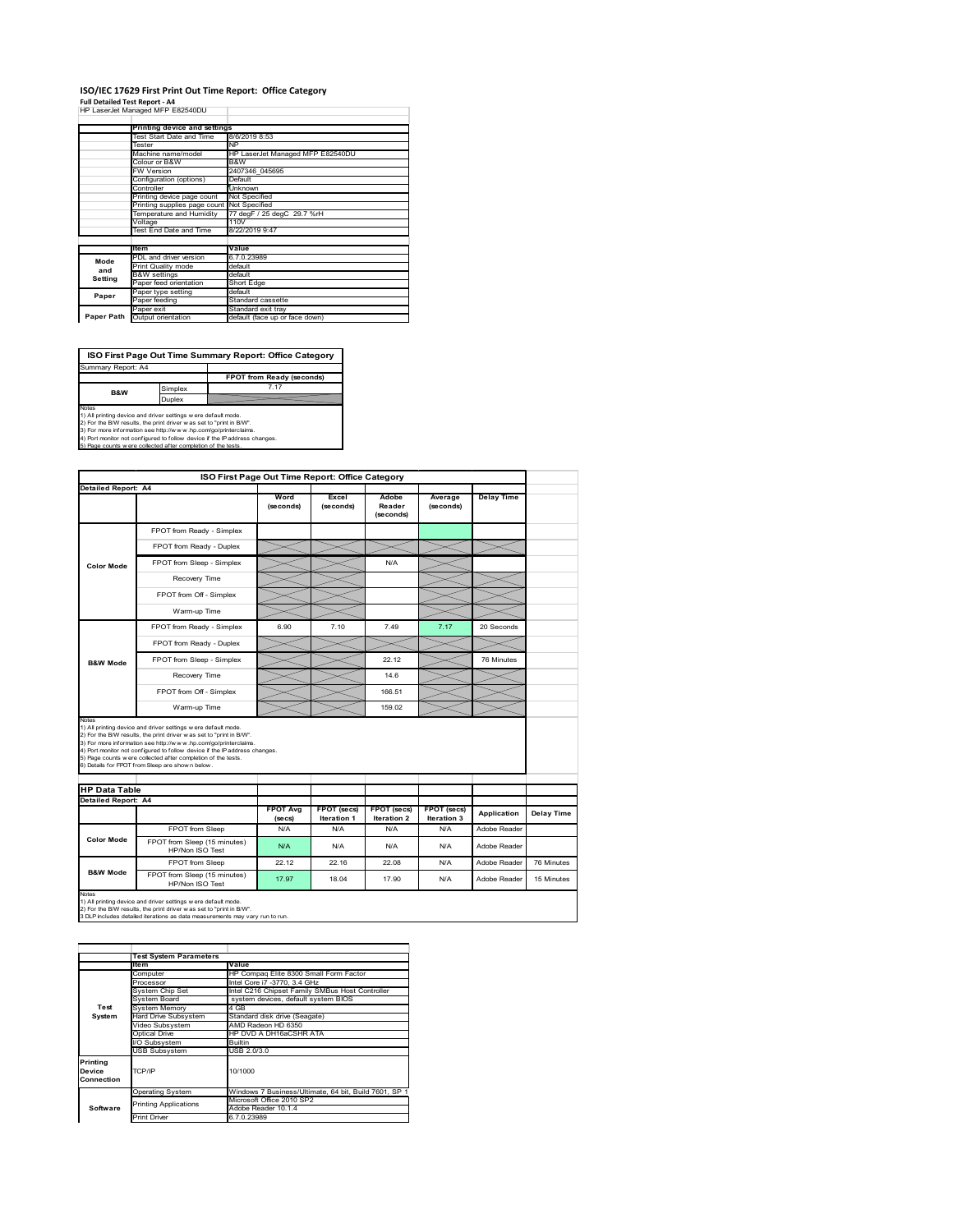#### **ISO/IEC 17629 First Print Out Time Report: Office Category Full Detailed Test Report ‐ A4** HP LaserJet Managed MFP E82540DU

|            | Printing device and settings |                                  |
|------------|------------------------------|----------------------------------|
|            | Test Start Date and Time     | 8/6/2019 8:53                    |
|            | Tester                       | <b>NP</b>                        |
|            | Machine name/model           | HP LaserJet Managed MFP E82540DU |
|            | Colour or B&W                | B&W                              |
|            | FW Version                   | 2407346 045695                   |
|            | Configuration (options)      | Default                          |
|            | Controller                   | Unknown                          |
|            | Printing device page count   | Not Specified                    |
|            | Printing supplies page count | Not Specified                    |
|            | Temperature and Humidity     | 77 degF / 25 degC 29.7 %rH       |
|            | Voltage                      | 110V                             |
|            | Test End Date and Time       | 8/22/2019 9:47                   |
|            |                              |                                  |
|            | ltem                         | Value                            |
| Mode       | PDL and driver version       | 6.7.0.23989                      |
| and        | Print Quality mode           | default                          |
| Setting    | <b>B&amp;W</b> settings      | default                          |
|            | Paper feed orientation       | Short Edge                       |
| Paper      | Paper type setting           | default                          |
|            | Paper feeding                | Standard cassette                |
|            | Paper exit                   | Standard exit tray               |
| Paper Path | Output orientation           | default (face up or face down)   |

**ISO First Page Out Time Summary Report: Office Category**

**FPOT from Ready (se** Simplex 7.17 Duplex Notes<br>1) All printing device and driver settings were default mode.<br>2) For the BW results, the print driver was set to "print in BW".<br>3) For more information see http://www.hp.com/go/printerclaims.<br>4) Port monitor not conf Summary Report: A4 **B&W**

|                            |                                                                                                                                                                                                                                                                                                                                                                                                             | ISO First Page Out Time Report: Office Category |                           |                              |                      |                    |                   |
|----------------------------|-------------------------------------------------------------------------------------------------------------------------------------------------------------------------------------------------------------------------------------------------------------------------------------------------------------------------------------------------------------------------------------------------------------|-------------------------------------------------|---------------------------|------------------------------|----------------------|--------------------|-------------------|
| <b>Detailed Report: A4</b> |                                                                                                                                                                                                                                                                                                                                                                                                             | Word<br>(seconds)                               | Excel<br>(seconds)        | Adobe<br>Reader<br>(seconds) | Average<br>(seconds) | <b>Delay Time</b>  |                   |
|                            | FPOT from Ready - Simplex                                                                                                                                                                                                                                                                                                                                                                                   |                                                 |                           |                              |                      |                    |                   |
|                            | FPOT from Ready - Duplex                                                                                                                                                                                                                                                                                                                                                                                    |                                                 |                           |                              |                      |                    |                   |
| <b>Color Mode</b>          | FPOT from Sleep - Simplex                                                                                                                                                                                                                                                                                                                                                                                   |                                                 |                           | N/A                          |                      |                    |                   |
|                            | Recovery Time                                                                                                                                                                                                                                                                                                                                                                                               |                                                 |                           |                              |                      |                    |                   |
|                            | FPOT from Off - Simplex                                                                                                                                                                                                                                                                                                                                                                                     |                                                 |                           |                              |                      |                    |                   |
|                            | Warm-up Time                                                                                                                                                                                                                                                                                                                                                                                                |                                                 |                           |                              |                      |                    |                   |
|                            | FPOT from Ready - Simplex                                                                                                                                                                                                                                                                                                                                                                                   | 6.90                                            | 7.10                      | 7.49                         | 7.17                 | 20 Seconds         |                   |
|                            | FPOT from Ready - Duplex                                                                                                                                                                                                                                                                                                                                                                                    |                                                 |                           |                              |                      |                    |                   |
| <b>B&amp;W Mode</b>        | FPOT from Sleep - Simplex                                                                                                                                                                                                                                                                                                                                                                                   |                                                 |                           | 22.12                        |                      | 76 Minutes         |                   |
|                            | Recovery Time                                                                                                                                                                                                                                                                                                                                                                                               |                                                 |                           | 146                          |                      |                    |                   |
|                            |                                                                                                                                                                                                                                                                                                                                                                                                             |                                                 |                           |                              |                      |                    |                   |
|                            | FPOT from Off - Simplex                                                                                                                                                                                                                                                                                                                                                                                     |                                                 |                           | 166.51                       |                      |                    |                   |
| Notes                      | Warm-up Time                                                                                                                                                                                                                                                                                                                                                                                                |                                                 |                           | 159.02                       |                      |                    |                   |
| <b>HP Data Table</b>       | 1) All printing device and driver settings w ere default mode.<br>2) For the B/W results, the print driver was set to "print in B/W".<br>3) For more information see http://www.hp.com/go/printerclaims.<br>4) Port monitor not configured to follow device if the IP address changes.<br>5) Page counts w ere collected after completion of the tests.<br>6) Details for FPOT from Sleep are show n below. |                                                 |                           |                              |                      |                    |                   |
| <b>Detailed Report: A4</b> |                                                                                                                                                                                                                                                                                                                                                                                                             | <b>FPOT Ava</b>                                 | FPOT (secs)               | FPOT (secs)                  | <b>FPOT</b> (secs)   | <b>Application</b> | <b>Delay Time</b> |
|                            | FPOT from Sleep                                                                                                                                                                                                                                                                                                                                                                                             | (se cs)<br>N/A                                  | <b>Iteration 1</b><br>N/A | <b>Iteration 2</b><br>N/A    | Iteration 3<br>N/A   | Adobe Reader       |                   |
| <b>Color Mode</b>          | FPOT from Sleep (15 minutes)<br>HP/Non ISO Test                                                                                                                                                                                                                                                                                                                                                             | N/A                                             | N/A                       | N/A                          | N/A                  | Adobe Reader       |                   |
| <b>B&amp;W Mode</b>        | FPOT from Sleep                                                                                                                                                                                                                                                                                                                                                                                             | 22.12                                           | 22.16                     | 22.08                        | N/A                  | Adobe Reader       | 76 Minutes        |

1) All printing device and driver settings w ere default mode.<br>2) For the B/W results, the print driver w as set to "print in B/W".<br>3 DLP includes detailed iterations as data measurements may vary run to run.

|                                                       | <b>Test System Parameters</b> |                                                       |  |  |
|-------------------------------------------------------|-------------------------------|-------------------------------------------------------|--|--|
|                                                       | ltem<br>Value                 |                                                       |  |  |
|                                                       | Computer                      | HP Compag Elite 8300 Small Form Factor                |  |  |
|                                                       | Processor                     | Intel Core i7 -3770, 3.4 GHz                          |  |  |
|                                                       | System Chip Set               | Intel C216 Chipset Family SMBus Host Controller       |  |  |
|                                                       | System Board                  | system devices, default system BIOS                   |  |  |
| Test                                                  | System Memory                 | 4 GB                                                  |  |  |
| System                                                | Hard Drive Subsystem          | Standard disk drive (Seagate)                         |  |  |
|                                                       | Video Subsystem               | AMD Radeon HD 6350                                    |  |  |
|                                                       | Optical Drive                 | HP DVD A DH16aCSHR ATA                                |  |  |
|                                                       | I/O Subsystem                 | <b>Builtin</b>                                        |  |  |
|                                                       | <b>USB Subsystem</b>          | USB 2.0/3.0                                           |  |  |
| Printing<br>Device<br>TCP/IP<br>10/1000<br>Connection |                               |                                                       |  |  |
|                                                       | Operating System              | Windows 7 Business/Ultimate, 64 bit, Build 7601, SP 1 |  |  |
|                                                       | <b>Printing Applications</b>  | Microsoft Office 2010 SP2                             |  |  |
| Software                                              |                               | Adobe Reader 10.1.4                                   |  |  |
|                                                       | <b>Print Driver</b>           | 6.7.0.23989                                           |  |  |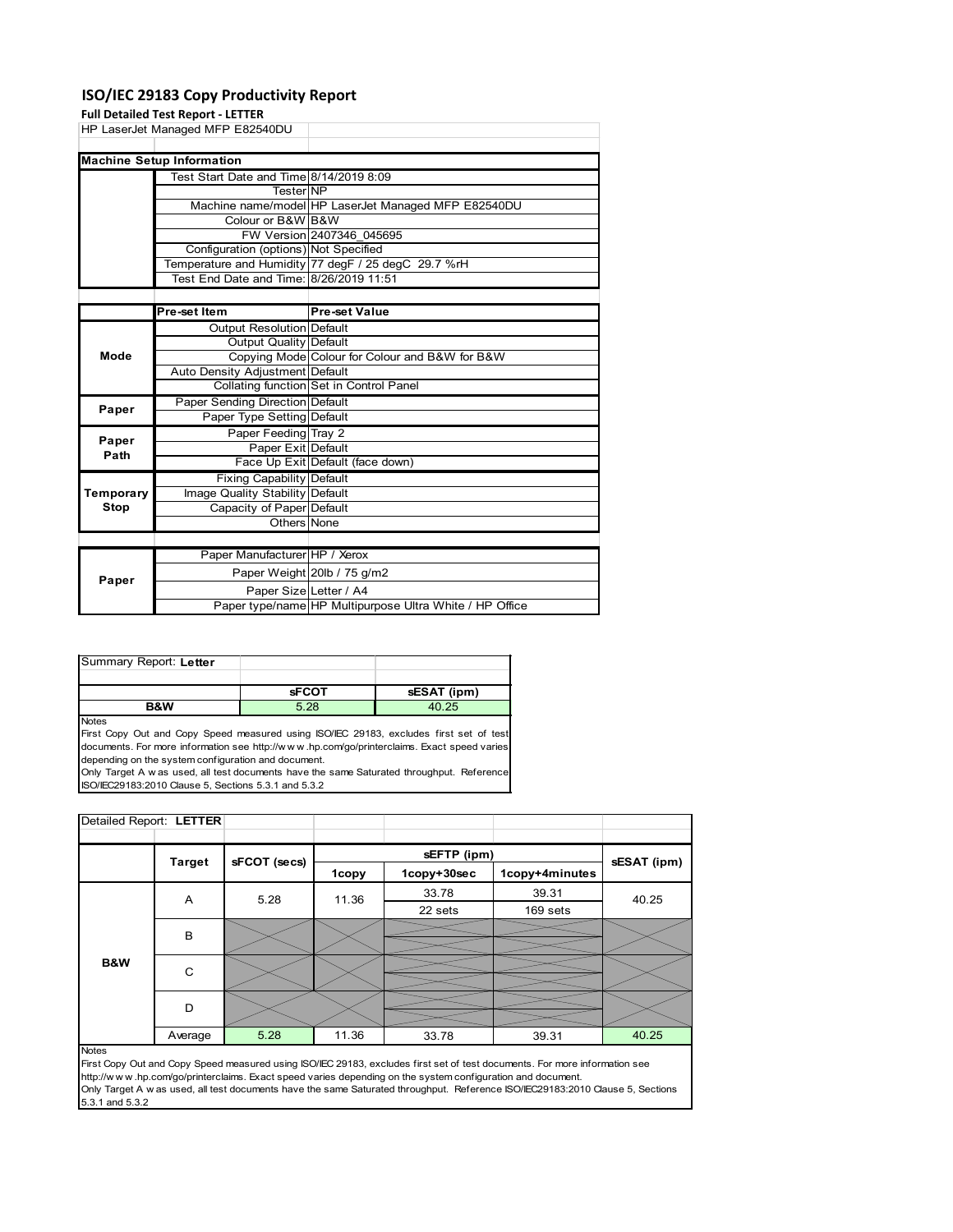### **ISO/IEC 29183 Copy Productivity Report**

#### **Full Detailed Test Report ‐ LETTER**

|      | HP LaserJet Managed MFP E82540DU        |                                                     |  |
|------|-----------------------------------------|-----------------------------------------------------|--|
|      | <b>Machine Setup Information</b>        |                                                     |  |
|      | Test Start Date and Time 8/14/2019 8:09 |                                                     |  |
|      | <b>Tester</b> NP                        |                                                     |  |
|      |                                         | Machine name/model HP LaserJet Managed MFP E82540DU |  |
|      | Colour or B&W B&W                       |                                                     |  |
|      |                                         | FW Version 2407346 045695                           |  |
|      | Configuration (options) Not Specified   |                                                     |  |
|      |                                         | Temperature and Humidity 77 degF / 25 degC 29.7 %rH |  |
|      | Test End Date and Time: 8/26/2019 11:51 |                                                     |  |
|      |                                         |                                                     |  |
|      | Pre-set Item                            | <b>Pre-set Value</b>                                |  |
|      | <b>Output Resolution Default</b>        |                                                     |  |
|      | Output Quality Default                  |                                                     |  |
| Mode |                                         | Copying Mode Colour for Colour and B&W for B&W      |  |
|      | Auto Donaity Adjustment Default         |                                                     |  |

|           | Auto Density Adjustment Default  |                                                         |
|-----------|----------------------------------|---------------------------------------------------------|
|           |                                  | Collating function Set in Control Panel                 |
| Paper     | Paper Sending Direction Default  |                                                         |
|           | Paper Type Setting Default       |                                                         |
| Paper     | Paper Feeding Tray 2             |                                                         |
| Path      | Paper Exit Default               |                                                         |
|           |                                  | Face Up Exit Default (face down)                        |
|           | <b>Fixing Capability Default</b> |                                                         |
| Temporary | Image Quality Stability Default  |                                                         |
| Stop      | Capacity of Paper Default        |                                                         |
|           | Others None                      |                                                         |
|           |                                  |                                                         |
|           | Paper Manufacturer HP / Xerox    |                                                         |
| Paper     |                                  | Paper Weight 20lb / 75 g/m2                             |
|           | Paper Size Letter / A4           |                                                         |
|           |                                  | Paper type/name HP Multipurpose Ultra White / HP Office |

| Summary Report: Letter |              |             |
|------------------------|--------------|-------------|
|                        |              |             |
|                        | <b>SFCOT</b> | sESAT (ipm) |
| <b>B&amp;W</b>         | 5.28         | 40.25       |

Notes

First Copy Out and Copy Speed measured using ISO/IEC 29183, excludes first set of test documents. For more information see http://w w w .hp.com/go/printerclaims. Exact speed varies depending on the system configuration and document.

Only Target A w as used, all test documents have the same Saturated throughput. Reference ISO/IEC29183:2010 Clause 5, Sections 5.3.1 and 5.3.2

| Detailed Report: LETTER |     |                               |      |       |             |                |             |  |
|-------------------------|-----|-------------------------------|------|-------|-------------|----------------|-------------|--|
|                         |     |                               |      |       | sEFTP (ipm) |                |             |  |
|                         |     | sFCOT (secs)<br><b>Target</b> |      | 1copy | 1copy+30sec | 1copy+4minutes | sESAT (ipm) |  |
|                         |     | A                             | 5.28 | 11.36 | 33.78       | 39.31          | 40.25       |  |
|                         |     |                               |      |       | 22 sets     | 169 sets       |             |  |
|                         |     | B                             |      |       |             |                |             |  |
|                         |     |                               |      |       |             |                |             |  |
|                         | B&W | C                             |      |       |             |                |             |  |
|                         |     |                               |      |       |             |                |             |  |
|                         |     | D                             |      |       |             |                |             |  |
|                         |     |                               |      |       |             |                |             |  |
|                         |     | Average                       | 5.28 | 11.36 | 33.78       | 39.31          | 40.25       |  |

Notes

First Copy Out and Copy Speed measured using ISO/IEC 29183, excludes first set of test documents. For more information see http://w w w .hp.com/go/printerclaims. Exact speed varies depending on the system configuration and document. Only Target A w as used, all test documents have the same Saturated throughput. Reference ISO/IEC29183:2010 Clause 5, Sections 5.3.1 and 5.3.2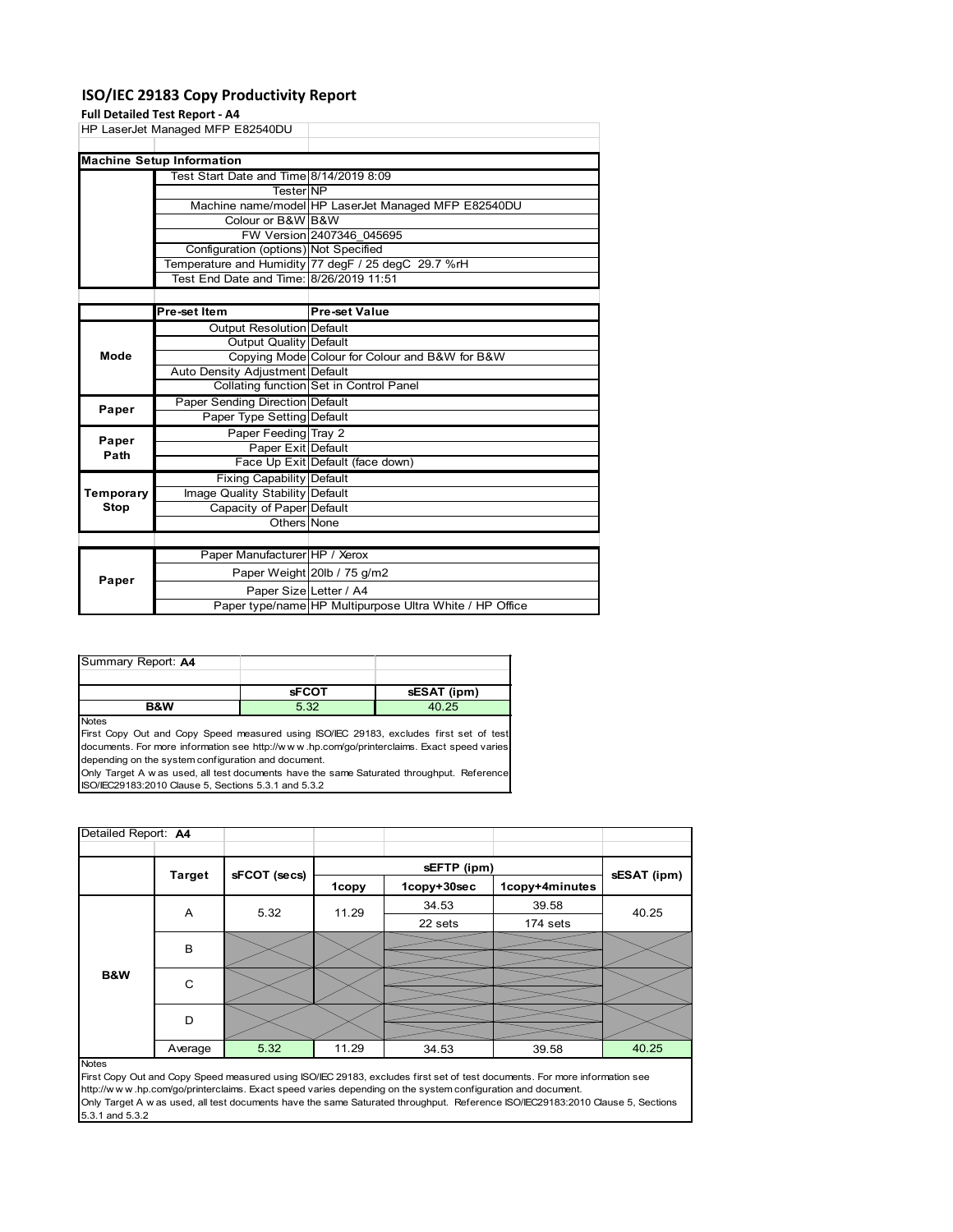### **ISO/IEC 29183 Copy Productivity Report**

#### **Full Detailed Test Report ‐ A4**

|     | HP LaserJet Managed MFP E82540DU        |                                                     |  |
|-----|-----------------------------------------|-----------------------------------------------------|--|
|     | <b>Machine Setup Information</b>        |                                                     |  |
|     | Test Start Date and Time 8/14/2019 8:09 |                                                     |  |
|     | <b>TesterINP</b>                        |                                                     |  |
|     |                                         | Machine name/model HP LaserJet Managed MFP E82540DU |  |
|     | Colour or B&W B&W                       |                                                     |  |
|     |                                         | FW Version 2407346 045695                           |  |
|     | Configuration (options) Not Specified   |                                                     |  |
|     |                                         | Temperature and Humidity 77 degF / 25 degC 29.7 %rH |  |
|     | Test End Date and Time: 8/26/2019 11:51 |                                                     |  |
|     |                                         |                                                     |  |
|     | <b>Pre-set Item</b>                     | <b>Pre-set Value</b>                                |  |
|     | <b>Output Resolution Default</b>        |                                                     |  |
|     | <b>Output Quality Default</b>           |                                                     |  |
| . . |                                         | <br>$- \cdot \cdot \cdot$                           |  |

| Mode          | Output Quality   Dolault         |                                                         |
|---------------|----------------------------------|---------------------------------------------------------|
|               |                                  | Copying Mode Colour for Colour and B&W for B&W          |
|               | Auto Density Adjustment Default  |                                                         |
|               |                                  | Collating function Set in Control Panel                 |
| Paper         | Paper Sending Direction Default  |                                                         |
|               | Paper Type Setting Default       |                                                         |
| Paper<br>Path | Paper Feeding Tray 2             |                                                         |
|               | Paper Exit Default               |                                                         |
|               |                                  | Face Up Exit Default (face down)                        |
|               | <b>Fixing Capability Default</b> |                                                         |
| Temporary     | Image Quality Stability Default  |                                                         |
| Stop          | Capacity of Paper Default        |                                                         |
|               | Others None                      |                                                         |
|               |                                  |                                                         |
|               | Paper Manufacturer HP / Xerox    |                                                         |
| Paper         |                                  | Paper Weight 20lb / 75 g/m2                             |
|               | Paper Size Letter / A4           |                                                         |
|               |                                  | Paper type/name HP Multipurpose Ultra White / HP Office |

| <b>B&amp;W</b>     | ാറ           |             |
|--------------------|--------------|-------------|
|                    | <b>SFCOT</b> | sESAT (ipm) |
|                    |              |             |
| Summary Report: A4 |              |             |

Notes First Copy Out and Copy Speed measured using ISO/IEC 29183, excludes first set of test documents. For more information see http://w w w .hp.com/go/printerclaims. Exact speed varies depending on the system configuration and document.

Only Target A w as used, all test documents have the same Saturated throughput. Reference ISO/IEC29183:2010 Clause 5, Sections 5.3.1 and 5.3.2

| Detailed Report: A4 |               |              |       |             |                |             |
|---------------------|---------------|--------------|-------|-------------|----------------|-------------|
|                     |               |              |       | sEFTP (ipm) |                |             |
|                     | <b>Target</b> | sFCOT (secs) | 1copy | 1copy+30sec | 1copy+4minutes | sESAT (ipm) |
|                     | A             | 5.32         | 11.29 | 34.53       | 39.58          | 40.25       |
|                     |               |              |       | 22 sets     | 174 sets       |             |
|                     | B             |              |       |             |                |             |
| B&W                 |               |              |       |             |                |             |
|                     | C             |              |       |             |                |             |
|                     |               |              |       |             |                |             |
|                     | D             |              |       |             |                |             |
|                     |               |              |       |             |                |             |
|                     | Average       | 5.32         | 11.29 | 34.53       | 39.58          | 40.25       |
| <b>Notes</b>        |               |              |       |             |                |             |

First Copy Out and Copy Speed measured using ISO/IEC 29183, excludes first set of test documents. For more information see http://w w w .hp.com/go/printerclaims. Exact speed varies depending on the system configuration and document. Only Target A w as used, all test documents have the same Saturated throughput. Reference ISO/IEC29183:2010 Clause 5, Sections 5.3.1 and 5.3.2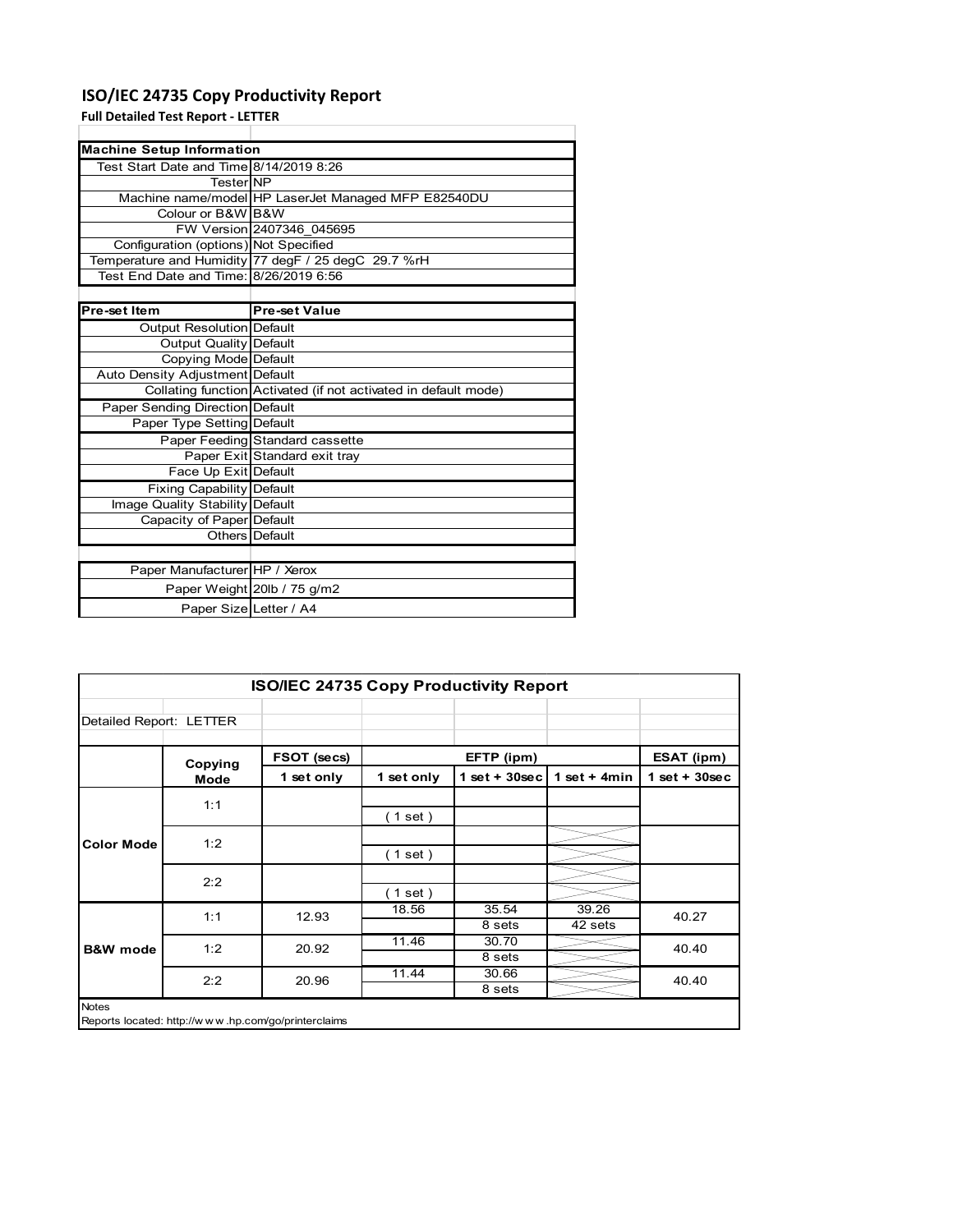### **ISO/IEC 24735 Copy Productivity Report**

**Full Detailed Test Report ‐ LETTER**

| <b>Machine Setup Information</b>        |                                                                 |  |  |  |
|-----------------------------------------|-----------------------------------------------------------------|--|--|--|
| Test Start Date and Time 8/14/2019 8:26 |                                                                 |  |  |  |
| <b>TesterINP</b>                        |                                                                 |  |  |  |
|                                         | Machine name/model HP LaserJet Managed MFP E82540DU             |  |  |  |
| Colour or B&W B&W                       |                                                                 |  |  |  |
|                                         | FW Version 2407346 045695                                       |  |  |  |
| Configuration (options) Not Specified   |                                                                 |  |  |  |
|                                         | Temperature and Humidity 77 degF / 25 degC 29.7 %rH             |  |  |  |
| Test End Date and Time: 8/26/2019 6:56  |                                                                 |  |  |  |
|                                         |                                                                 |  |  |  |
| Pre-set Item                            | <b>Pre-set Value</b>                                            |  |  |  |
| Output Resolution Default               |                                                                 |  |  |  |
| Output Quality Default                  |                                                                 |  |  |  |
| Copying Mode Default                    |                                                                 |  |  |  |
| Auto Density Adjustment Default         |                                                                 |  |  |  |
|                                         | Collating function Activated (if not activated in default mode) |  |  |  |
| <b>Paper Sending Direction Default</b>  |                                                                 |  |  |  |
| Paper Type Setting Default              |                                                                 |  |  |  |
|                                         | Paper Feeding Standard cassette                                 |  |  |  |
|                                         | Paper Exit Standard exit tray                                   |  |  |  |
| Face Up Exit Default                    |                                                                 |  |  |  |
| <b>Fixing Capability Default</b>        |                                                                 |  |  |  |
| Image Quality Stability Default         |                                                                 |  |  |  |
| Capacity of Paper Default               |                                                                 |  |  |  |
|                                         | Others Default                                                  |  |  |  |
|                                         |                                                                 |  |  |  |
| Paper Manufacturer HP / Xerox           |                                                                 |  |  |  |
|                                         | Paper Weight 20lb / 75 g/m2                                     |  |  |  |
| Paper Size Letter / A4                  |                                                                 |  |  |  |

| <b>ISO/IEC 24735 Copy Productivity Report</b>                       |         |             |            |                 |                  |                   |
|---------------------------------------------------------------------|---------|-------------|------------|-----------------|------------------|-------------------|
| Detailed Report: LETTER                                             |         |             |            |                 |                  |                   |
|                                                                     | Copying | FSOT (secs) |            | EFTP (ipm)      |                  | <b>ESAT (ipm)</b> |
|                                                                     | Mode    | 1 set only  | 1 set only | $1$ set + 30sec | 1 set $+$ 4 min  | $1$ set + 30sec   |
| <b>Color Mode</b>                                                   | 1:1     |             | (1 set)    |                 |                  |                   |
|                                                                     | 1:2     |             | (1 set)    |                 |                  |                   |
|                                                                     | 2:2     |             | (1 set )   |                 |                  |                   |
|                                                                     | 1:1     | 12.93       | 18.56      | 35.54<br>8 sets | 39.26<br>42 sets | 40.27             |
| <b>B&amp;W</b> mode                                                 | 1:2     | 20.92       | 11.46      | 30.70<br>8 sets |                  | 40.40             |
|                                                                     | 2:2     | 20.96       | 11.44      | 30.66<br>8 sets |                  | 40.40             |
| <b>Notes</b><br>Reports located: http://www.hp.com/go/printerclaims |         |             |            |                 |                  |                   |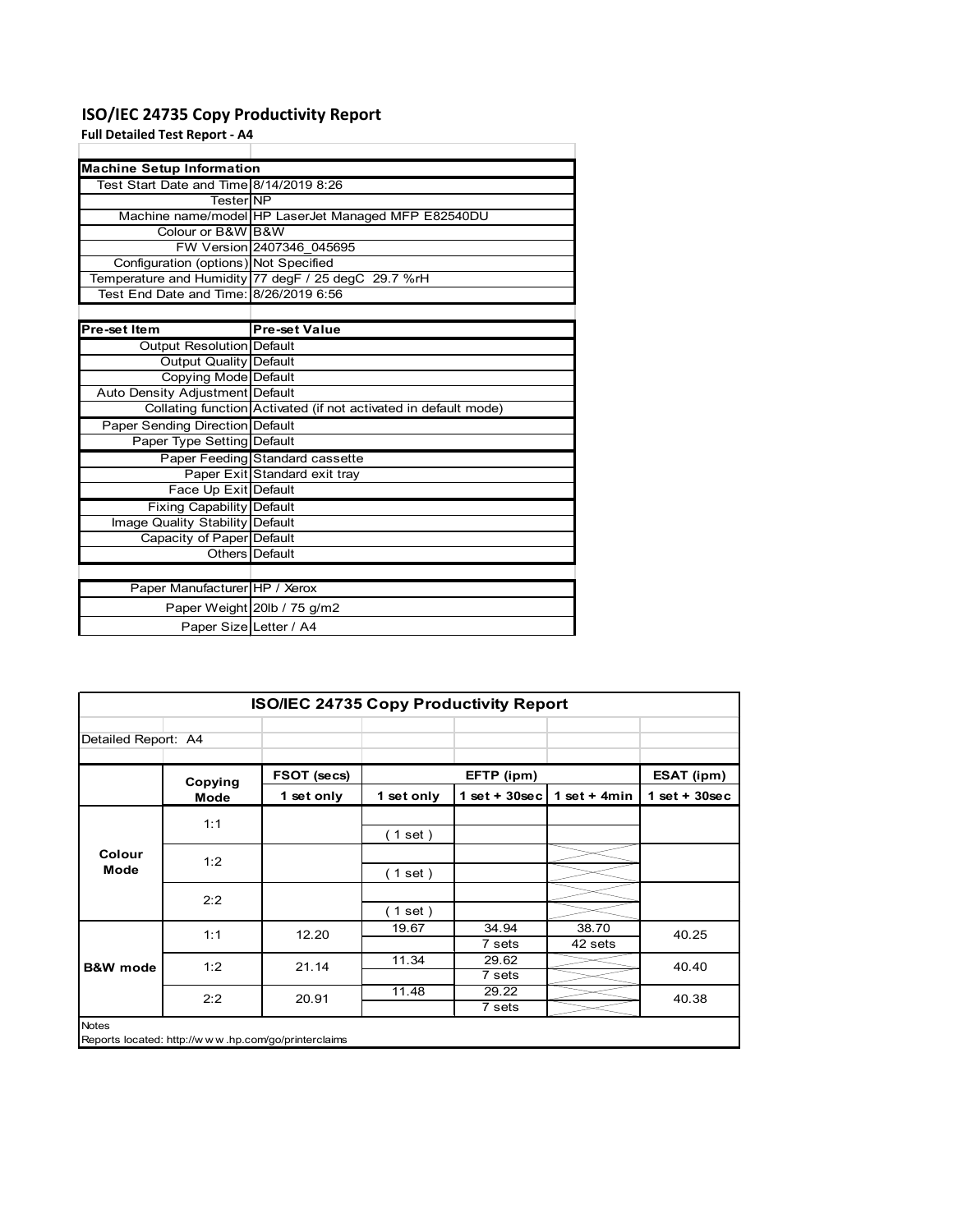## **ISO/IEC 24735 Copy Productivity Report**

### **Full Detailed Test Report ‐ A4**

| <b>Machine Setup Information</b>        |                                                                 |  |  |  |
|-----------------------------------------|-----------------------------------------------------------------|--|--|--|
| Test Start Date and Time 8/14/2019 8:26 |                                                                 |  |  |  |
| <b>Tester NP</b>                        |                                                                 |  |  |  |
|                                         | Machine name/model HP LaserJet Managed MFP E82540DU             |  |  |  |
| Colour or B&W B&W                       |                                                                 |  |  |  |
|                                         | FW Version 2407346 045695                                       |  |  |  |
| Configuration (options) Not Specified   |                                                                 |  |  |  |
|                                         | Temperature and Humidity 77 degF / 25 degC 29.7 %rH             |  |  |  |
| Test End Date and Time: 8/26/2019 6:56  |                                                                 |  |  |  |
|                                         |                                                                 |  |  |  |
| Pre-set Item                            | <b>Pre-set Value</b>                                            |  |  |  |
| Output Resolution Default               |                                                                 |  |  |  |
| <b>Output Quality Default</b>           |                                                                 |  |  |  |
| Copying Mode Default                    |                                                                 |  |  |  |
| Auto Density Adjustment Default         |                                                                 |  |  |  |
|                                         | Collating function Activated (if not activated in default mode) |  |  |  |
| <b>Paper Sending Direction Default</b>  |                                                                 |  |  |  |
| Paper Type Setting Default              |                                                                 |  |  |  |
|                                         | Paper Feeding Standard cassette                                 |  |  |  |
|                                         | Paper Exit Standard exit tray                                   |  |  |  |
| Face Up Exit Default                    |                                                                 |  |  |  |
| <b>Fixing Capability Default</b>        |                                                                 |  |  |  |
| Image Quality Stability Default         |                                                                 |  |  |  |
| Capacity of Paper Default               |                                                                 |  |  |  |
|                                         | Others Default                                                  |  |  |  |
|                                         |                                                                 |  |  |  |
| Paper Manufacturer HP / Xerox           |                                                                 |  |  |  |
|                                         | Paper Weight 20lb / 75 g/m2                                     |  |  |  |
| Paper Size Letter / A4                  |                                                                 |  |  |  |

| <b>ISO/IEC 24735 Copy Productivity Report</b> |             |            |                 |                  |                 |  |
|-----------------------------------------------|-------------|------------|-----------------|------------------|-----------------|--|
| Detailed Report: A4                           |             |            |                 |                  |                 |  |
|                                               | FSOT (secs) |            | EFTP (ipm)      |                  | ESAT (ipm)      |  |
| Mode                                          | 1 set only  | 1 set only |                 | 1 set $+$ 4min   | $1$ set + 30sec |  |
| 1:1                                           |             | (1 set)    |                 |                  |                 |  |
| 1:2                                           |             | (1 set)    |                 |                  |                 |  |
| 2:2                                           |             | (1 set )   |                 |                  |                 |  |
| 1:1                                           | 12.20       | 19.67      | 34.94<br>7 sets | 38.70<br>42 sets | 40.25           |  |
| 1:2                                           | 21.14       | 11.34      | 29.62<br>7 sets |                  | 40.40           |  |
| 2:2                                           | 20.91       | 11.48      | 29.22           |                  | 40.38           |  |
|                                               | Copying     |            |                 | 7 sets           | $1$ set + 30sec |  |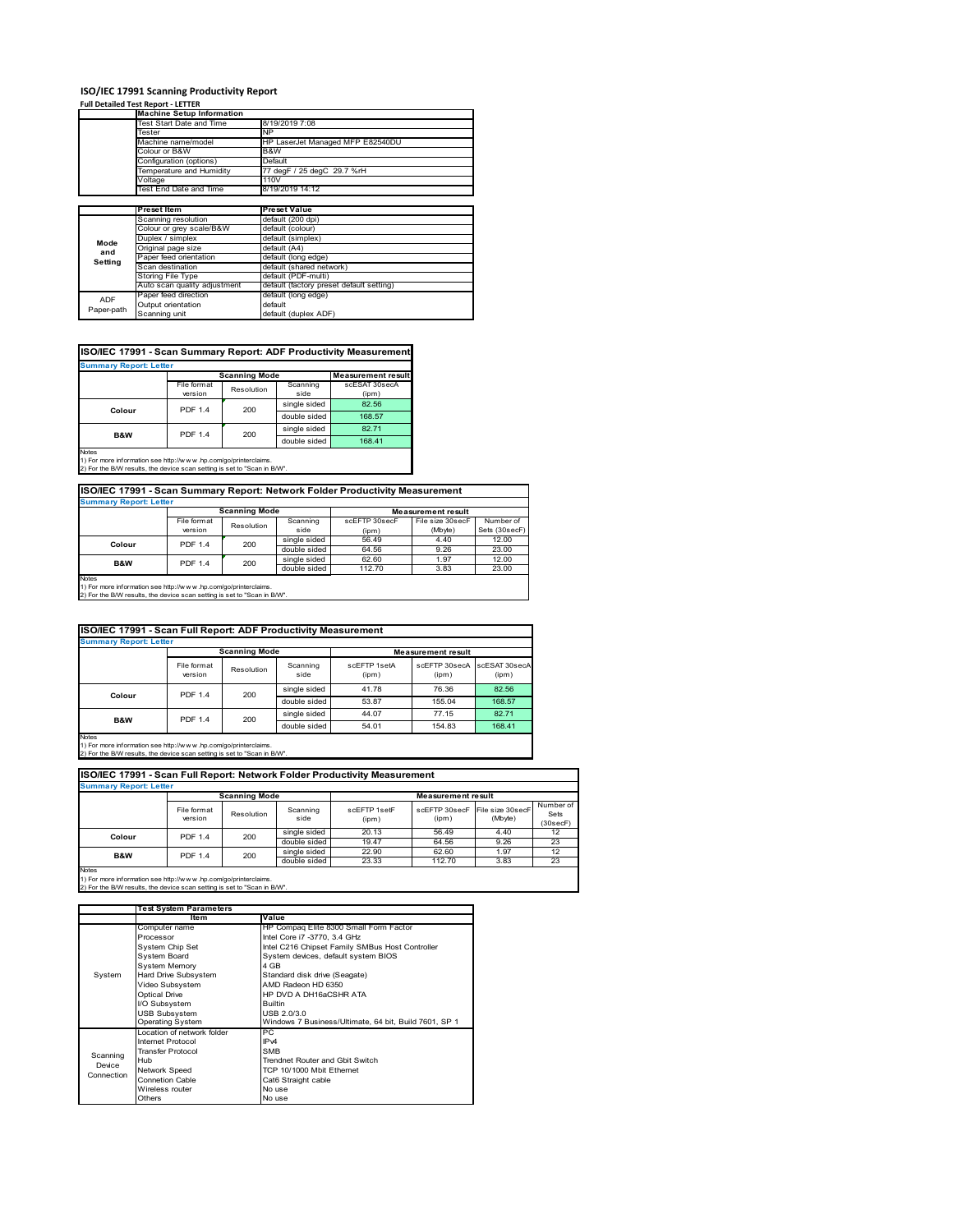#### **ISO/IEC 17991 Scanning Productivity Report**

#### **Full Detailed Test Report ‐ LETTER**

ADF Paper-path

|                    | <b>Machine Setup Information</b> |                                          |  |  |  |
|--------------------|----------------------------------|------------------------------------------|--|--|--|
|                    | Test Start Date and Time         | 8/19/2019 7:08                           |  |  |  |
|                    | Tester                           | NP.                                      |  |  |  |
|                    | Machine name/model               | HP LaserJet Managed MFP E82540DU         |  |  |  |
|                    | Colour or B&W                    | B&W                                      |  |  |  |
|                    | Configuration (options)          | Default                                  |  |  |  |
|                    | Temperature and Humidity         | 77 degF / 25 degC 29.7 %rH               |  |  |  |
|                    | Voltage                          | 110V                                     |  |  |  |
|                    | Test End Date and Time           | 8/19/2019 14:12                          |  |  |  |
|                    |                                  |                                          |  |  |  |
|                    | <b>Preset Item</b>               | <b>Preset Value</b>                      |  |  |  |
|                    | Scanning resolution              | default (200 dpi)                        |  |  |  |
|                    | Colour or grey scale/B&W         | default (colour)                         |  |  |  |
| Mode               | Duplex / simplex                 | default (simplex)                        |  |  |  |
| and                | Original page size               | default (A4)                             |  |  |  |
| Setting            | Paper feed orientation           | default (long edge)                      |  |  |  |
|                    | Scan destination                 | default (shared network)                 |  |  |  |
|                    | Storing File Type                | default (PDF-multi)                      |  |  |  |
|                    | Auto scan quality adjustment     | default (factory preset default setting) |  |  |  |
| <b>ADF</b>         | Paper feed direction             | default (long edge)                      |  |  |  |
| <b>Designation</b> | Output orientation               | default                                  |  |  |  |

| ISO/IEC 17991 - Scan Summary Report: ADF Productivity Measurement |  |  |
|-------------------------------------------------------------------|--|--|
|                                                                   |  |  |

Scanning unit default (duplex ADF)

| <b>Summary Report: Letter</b> |                |                      |              |                           |  |
|-------------------------------|----------------|----------------------|--------------|---------------------------|--|
|                               |                | <b>Scanning Mode</b> |              | <b>Measurement result</b> |  |
|                               | File format    | Resolution           | Scanning     | scESAT 30secA             |  |
|                               | version        |                      | side         | (ipm)                     |  |
| Colour                        | <b>PDF 1.4</b> | 200                  | single sided | 82.56                     |  |
|                               |                |                      | double sided | 168.57                    |  |
| <b>B&amp;W</b>                | <b>PDF 1.4</b> | 200                  | single sided | 82.71                     |  |
|                               |                |                      | double sided | 168.41                    |  |
| <b>Notes</b>                  |                |                      |              |                           |  |

Notes 1) For more information see http://w w w .hp.com/go/printerclaims. 2) For the B/W results, the device scan setting is set to "Scan in B/W".

| <b>Summary Report: Letter</b>                                   |                                                                          |            |                        |                           |                  |               |  |
|-----------------------------------------------------------------|--------------------------------------------------------------------------|------------|------------------------|---------------------------|------------------|---------------|--|
|                                                                 | <b>Scanning Mode</b>                                                     |            |                        | <b>Measurement result</b> |                  |               |  |
|                                                                 | File format                                                              | Resolution | Scanning               | scEFTP 30secF             | File size 30secF | Number of     |  |
|                                                                 | version                                                                  |            | side                   | (ipm)                     | (Mbyte)          | Sets (30secF) |  |
| Colour                                                          | <b>PDF 1.4</b>                                                           | 200        | single sided           | 56.49                     | 4.40             | 12.00         |  |
|                                                                 |                                                                          |            | double sided           | 64.56                     | 9.26             | 23.00         |  |
| B&W                                                             | <b>PDF 1.4</b>                                                           | 200        | single sided           | 62.60                     | 1.97             | 12.00         |  |
|                                                                 |                                                                          |            | double sided<br>112.70 |                           | 3.83             | 23.00         |  |
| <b>Notes</b>                                                    |                                                                          |            |                        |                           |                  |               |  |
| 1) For more information see http://www.hp.com/go/printerclaims. |                                                                          |            |                        |                           |                  |               |  |
|                                                                 | 2) For the B/W results, the device scan setting is set to "Scan in B/W". |            |                        |                           |                  |               |  |

|             | ISO/IEC 17991 - Scan Full Report: ADF Productivity Measurement |                      |                  |                       |                           |                        |  |  |
|-------------|----------------------------------------------------------------|----------------------|------------------|-----------------------|---------------------------|------------------------|--|--|
|             | <b>Summary Report: Letter</b>                                  |                      |                  |                       |                           |                        |  |  |
|             |                                                                | <b>Scanning Mode</b> |                  |                       | <b>Measurement result</b> |                        |  |  |
|             | File format<br>version                                         | Resolution           | Scanning<br>side | scFFTP 1setA<br>(ipm) | scEFTP 30secA<br>(ipm)    | scESAT 30secA<br>(ipm) |  |  |
| Colour      | <b>PDF 1.4</b>                                                 |                      | single sided     | 41.78                 | 76.36                     | 82.56                  |  |  |
|             |                                                                | 200                  | double sided     | 53.87                 | 155.04                    | 168.57                 |  |  |
| B&W         | <b>PDF 1.4</b>                                                 | 200                  | single sided     | 44.07                 | 77.15                     | 82.71                  |  |  |
| $1 - 1 - 1$ |                                                                |                      | double sided     | 54.01                 | 154.83                    | 168.41                 |  |  |

Notes 1) For more information see http://w w w .hp.com/go/printerclaims. 2) For the B/W results, the device scan setting is set to "Scan in B/W".

| ISO/IEC 17991 - Scan Full Report: Network Folder Productivity Measurement |                                                   |            |                  |                       |                        |                             |                               |  |
|---------------------------------------------------------------------------|---------------------------------------------------|------------|------------------|-----------------------|------------------------|-----------------------------|-------------------------------|--|
|                                                                           | <b>Summary Report: Letter</b>                     |            |                  |                       |                        |                             |                               |  |
|                                                                           | <b>Scanning Mode</b><br><b>Measurement result</b> |            |                  |                       |                        |                             |                               |  |
|                                                                           | File format<br>version                            | Resolution | Scanning<br>side | scFFTP 1setF<br>(ipm) | scEFTP 30secF<br>(ipm) | File size 30secF<br>(Mbyte) | Number of<br>Sets<br>(30secF) |  |
| Colour                                                                    | <b>PDF 1.4</b>                                    | 200        | single sided     | 20.13                 | 56.49                  | 4.40                        | 12                            |  |
|                                                                           |                                                   |            | double sided     | 19.47                 | 64.56                  | 9.26                        | 23                            |  |
| B&W                                                                       | <b>PDF 1.4</b>                                    | 200        | single sided     | 22.90                 | 62.60                  | 1.97                        | 12                            |  |
|                                                                           |                                                   |            | double sided     | 23.33                 | 112.70                 | 3.83                        | 23                            |  |
| <b>Nintee</b>                                                             |                                                   |            |                  |                       |                        |                             |                               |  |

|            | <b>Test System Parameters</b> |                                                       |  |  |
|------------|-------------------------------|-------------------------------------------------------|--|--|
|            | <b>Item</b>                   | Value                                                 |  |  |
|            | Computer name                 | HP Compaq Elite 8300 Small Form Factor                |  |  |
|            | Processor                     | Intel Core i7 -3770, 3.4 GHz                          |  |  |
|            | System Chip Set               | Intel C216 Chipset Family SMBus Host Controller       |  |  |
|            | <b>System Board</b>           | System devices, default system BIOS                   |  |  |
|            | <b>System Memory</b>          | 4 GB                                                  |  |  |
| System     | Hard Drive Subsystem          | Standard disk drive (Seagate)                         |  |  |
|            | Video Subsystem               | AMD Radeon HD 6350                                    |  |  |
|            | <b>Optical Drive</b>          | HP DVD A DH16aCSHR ATA                                |  |  |
|            | I/O Subsystem                 | <b>Builtin</b>                                        |  |  |
|            | <b>USB Subsystem</b>          | USB 2.0/3.0                                           |  |  |
|            | <b>Operating System</b>       | Windows 7 Business/Ultimate, 64 bit, Build 7601, SP 1 |  |  |
|            | I ocation of network folder   | PС                                                    |  |  |
|            | Internet Protocol             | IP <sub>v4</sub>                                      |  |  |
| Scanning   | <b>Transfer Protocol</b>      | <b>SMB</b>                                            |  |  |
| Device     | Hub                           | Trendnet Router and Gbit Switch                       |  |  |
| Connection | Network Speed                 | TCP 10/1000 Mbit Fthernet                             |  |  |
|            | <b>Connetion Cable</b>        | Cat6 Straight cable                                   |  |  |
|            | Wireless router               | No use                                                |  |  |
|            | Others                        | No use                                                |  |  |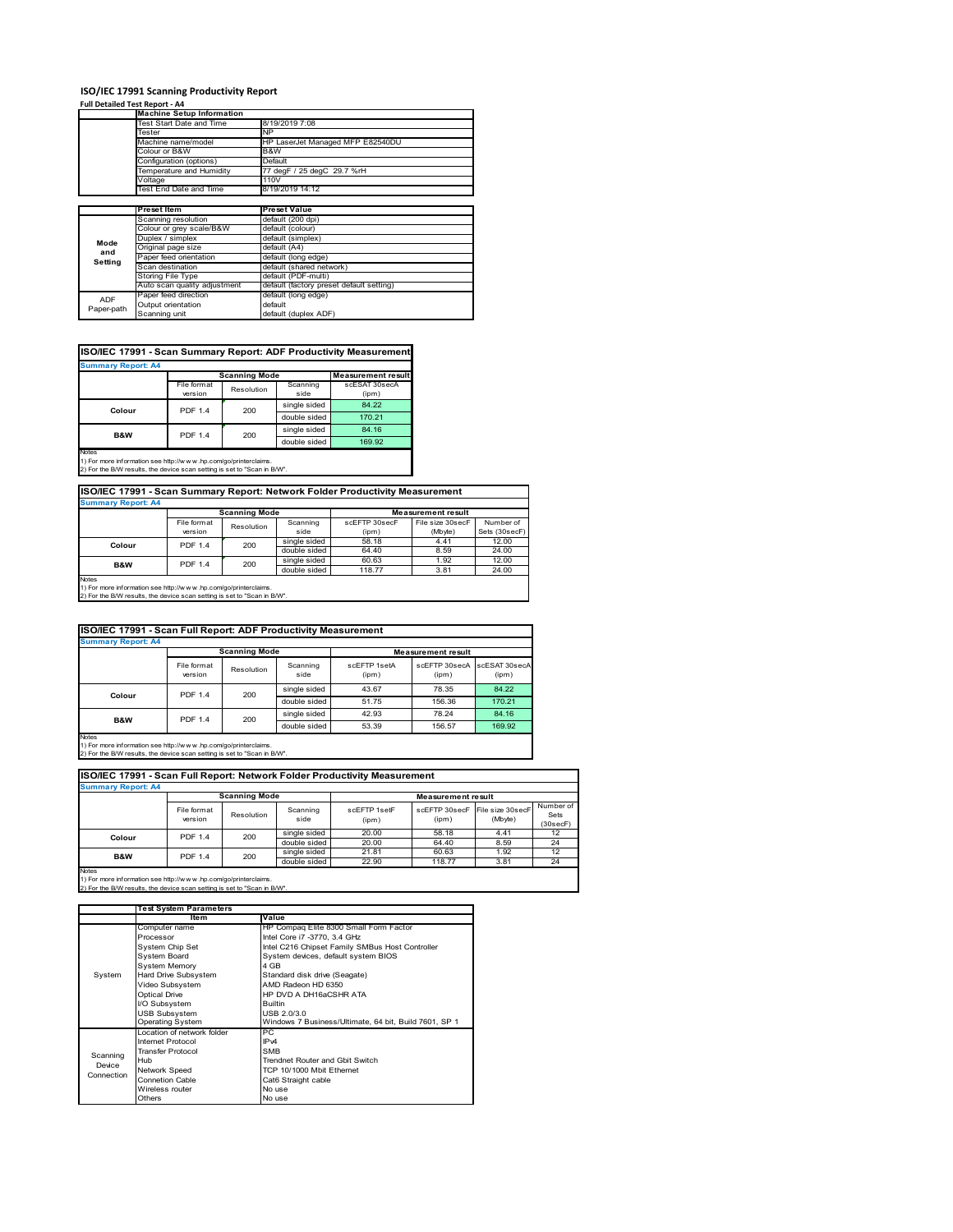### **ISO/IEC 17991 Scanning Productivity Report Full Detailed Test Report ‐ A4**

|            | rull Detaileu Test Report - A4<br><b>Machine Setup Information</b> |                                          |  |  |
|------------|--------------------------------------------------------------------|------------------------------------------|--|--|
|            | Test Start Date and Time                                           | 8/19/2019 7:08                           |  |  |
|            | Tester                                                             | <b>NP</b>                                |  |  |
|            | Machine name/model                                                 | HP LaserJet Managed MFP E82540DU         |  |  |
|            | Colour or B&W                                                      | B&W                                      |  |  |
|            | Configuration (options)                                            | Default                                  |  |  |
|            | Temperature and Humidity                                           | 77 degF / 25 degC 29.7 %rH               |  |  |
|            | Voltage                                                            | 110V                                     |  |  |
|            | Test End Date and Time                                             | 8/19/2019 14:12                          |  |  |
|            |                                                                    |                                          |  |  |
|            | <b>Preset Item</b>                                                 | <b>Preset Value</b>                      |  |  |
|            | Scanning resolution                                                | default (200 dpi)                        |  |  |
|            | Colour or grey scale/B&W                                           | default (colour)                         |  |  |
| Mode       | Duplex / simplex                                                   | default (simplex)                        |  |  |
| and        | Original page size                                                 | default (A4)                             |  |  |
| Setting    | Paper feed orientation                                             | default (long edge)                      |  |  |
|            | Scan destination                                                   | default (shared network)                 |  |  |
|            | <b>Storing File Type</b>                                           | default (PDF-multi)                      |  |  |
|            | Auto scan quality adjustment                                       | default (factory preset default setting) |  |  |
| <b>ADF</b> | Paper feed direction                                               | default (long edge)                      |  |  |
| Paper-path | Output orientation                                                 | default                                  |  |  |
|            | Scanning unit                                                      | default (duplex ADF)                     |  |  |

| ISO/IEC 17991 - Scan Summary Report: ADF Productivity Measurement |  |  |
|-------------------------------------------------------------------|--|--|
|                                                                   |  |  |

| <b>Summary Report: A4</b> |                |                      |              |                           |  |  |
|---------------------------|----------------|----------------------|--------------|---------------------------|--|--|
|                           |                | <b>Scanning Mode</b> |              | <b>Measurement result</b> |  |  |
|                           | File format    | Resolution           | Scanning     | scESAT 30secA             |  |  |
|                           | version        |                      | side         | (ipm)                     |  |  |
| Colour                    | <b>PDF 1.4</b> | 200                  | single sided | 84.22                     |  |  |
|                           |                |                      | double sided | 170.21                    |  |  |
| B&W                       | <b>PDF 1.4</b> | 200                  | single sided | 84.16                     |  |  |
|                           |                |                      | double sided | 169.92                    |  |  |
| <b>Notes</b>              |                |                      |              |                           |  |  |

1) For more information see http://w w w .hp.com/go/printerclaims. 2) For the B/W results, the device scan setting is set to "Scan in B/W".

**ISO/IEC 17991 - Scan Summary Report: Network Folder Productivity Measurement Summary Report: A4**

|                                                                          |                | <b>Scanning Mode</b> |              | <b>Measurement result</b> |                  |               |
|--------------------------------------------------------------------------|----------------|----------------------|--------------|---------------------------|------------------|---------------|
|                                                                          | File format    | Resolution           | Scanning     | scEFTP 30secF             | File size 30secF | Number of     |
|                                                                          | version        |                      | side         | (ipm)                     | (Mbyte)          | Sets (30secF) |
| Colour                                                                   | <b>PDF 1.4</b> | 200                  | single sided | 58.18                     | 4.41             | 12.00         |
|                                                                          |                |                      | double sided | 64.40                     | 8.59             | 24.00         |
| <b>B&amp;W</b>                                                           | <b>PDF 1.4</b> | 200                  | single sided | 60.63                     | 1.92             | 12.00         |
|                                                                          |                |                      | double sided | 118.77                    | 3.81             | 24.00         |
| <b>Notes</b>                                                             |                |                      |              |                           |                  |               |
| 1) For more information see http://www.hp.com/go/printerclaims.          |                |                      |              |                           |                  |               |
| 2) For the B/W results, the device scan setting is set to "Scan in B/W". |                |                      |              |                           |                  |               |

| ISO/IEC 17991 - Scan Full Report: ADF Productivity Measurement |                          |                       |                  |                           |                        |                        |
|----------------------------------------------------------------|--------------------------|-----------------------|------------------|---------------------------|------------------------|------------------------|
| <b>Summary Report: A4</b>                                      |                          |                       |                  |                           |                        |                        |
|                                                                |                          | <b>Scanning Mode</b>  |                  | <b>Measurement result</b> |                        |                        |
|                                                                | File format<br>version   | Resolution            | Scanning<br>side | scFFTP 1setA<br>(ipm)     | scFFTP 30secA<br>(ipm) | scESAT 30secA<br>(ipm) |
|                                                                | <b>PDF 1.4</b><br>Colour | 200                   | single sided     | 43.67                     | 78.35                  | 84.22                  |
|                                                                |                          |                       | double sided     | 51.75                     | 156.36                 | 170.21                 |
| B&W                                                            |                          | <b>PDF 1.4</b><br>200 | single sided     | 42.93                     | 78.24                  | 84.16                  |
|                                                                |                          |                       | double sided     | 53.39                     | 156.57                 | 169.92                 |
| $1 - 1 - 1$                                                    |                          |                       |                  |                           |                        |                        |

Notes 1) For more information see http://w w w .hp.com/go/printerclaims. 2) For the B/W results, the device scan setting is set to "Scan in B/W".

| ISO/IEC 17991 - Scan Full Report: Network Folder Productivity Measurement |                        |                      |                  |                       |                                         |         |                               |
|---------------------------------------------------------------------------|------------------------|----------------------|------------------|-----------------------|-----------------------------------------|---------|-------------------------------|
| <b>Summary Report: A4</b>                                                 |                        |                      |                  |                       |                                         |         |                               |
|                                                                           |                        | <b>Scanning Mode</b> |                  |                       | <b>Measurement result</b>               |         |                               |
|                                                                           | File format<br>version | Resolution           | Scanning<br>side | scEFTP 1setF<br>(ipm) | scEFTP 30secF File size 30secF<br>(ipm) | (Mbyte) | Number of<br>Sets<br>(30secF) |
| Colour                                                                    | <b>PDF 1.4</b>         | 200                  | single sided     | 20.00                 | 58.18                                   | 4.41    | 12                            |
|                                                                           |                        |                      | double sided     | 20.00                 | 64.40                                   | 8.59    | 24                            |
| <b>B&amp;W</b>                                                            | <b>PDF 1.4</b>         | 200                  | single sided     | 21.81                 | 60.63                                   | 1.92    | 12                            |
|                                                                           |                        |                      | double sided     | 22.90                 | 118.77                                  | 3.81    | 24                            |
| <b>Alaton</b>                                                             |                        |                      |                  |                       |                                         |         |                               |

|            | <b>Test System Parameters</b> |                                                       |  |  |
|------------|-------------------------------|-------------------------------------------------------|--|--|
|            | ltem                          | Value                                                 |  |  |
|            | Computer name                 | HP Compaq Elite 8300 Small Form Factor                |  |  |
|            | Processor                     | Intel Core i7 -3770, 3.4 GHz                          |  |  |
|            | System Chip Set               | Intel C216 Chipset Family SMBus Host Controller       |  |  |
|            | <b>System Board</b>           | System devices, default system BIOS                   |  |  |
|            | <b>System Memory</b>          | 4 GB                                                  |  |  |
| System     | Hard Drive Subsystem          | Standard disk drive (Seagate)                         |  |  |
|            | Video Subsystem               | AMD Radeon HD 6350                                    |  |  |
|            | Optical Drive                 | HP DVD A DH16aCSHR ATA                                |  |  |
|            | I/O Subsystem                 | <b>Builtin</b>                                        |  |  |
|            | <b>USB Subsystem</b>          | USB 2.0/3.0                                           |  |  |
|            | <b>Operating System</b>       | Windows 7 Business/Ultimate, 64 bit, Build 7601, SP 1 |  |  |
|            | I ocation of network folder   | PС                                                    |  |  |
|            | Internet Protocol             | IP <sub>v4</sub>                                      |  |  |
| Scanning   | <b>Transfer Protocol</b>      | <b>SMB</b>                                            |  |  |
| Device     | Hub                           | Trendnet Router and Gbit Switch                       |  |  |
| Connection | Network Speed                 | TCP 10/1000 Mbit Ethernet                             |  |  |
|            | <b>Connetion Cable</b>        | Cat6 Straight cable                                   |  |  |
|            | Wireless router               | No use                                                |  |  |
|            | Others                        | No use                                                |  |  |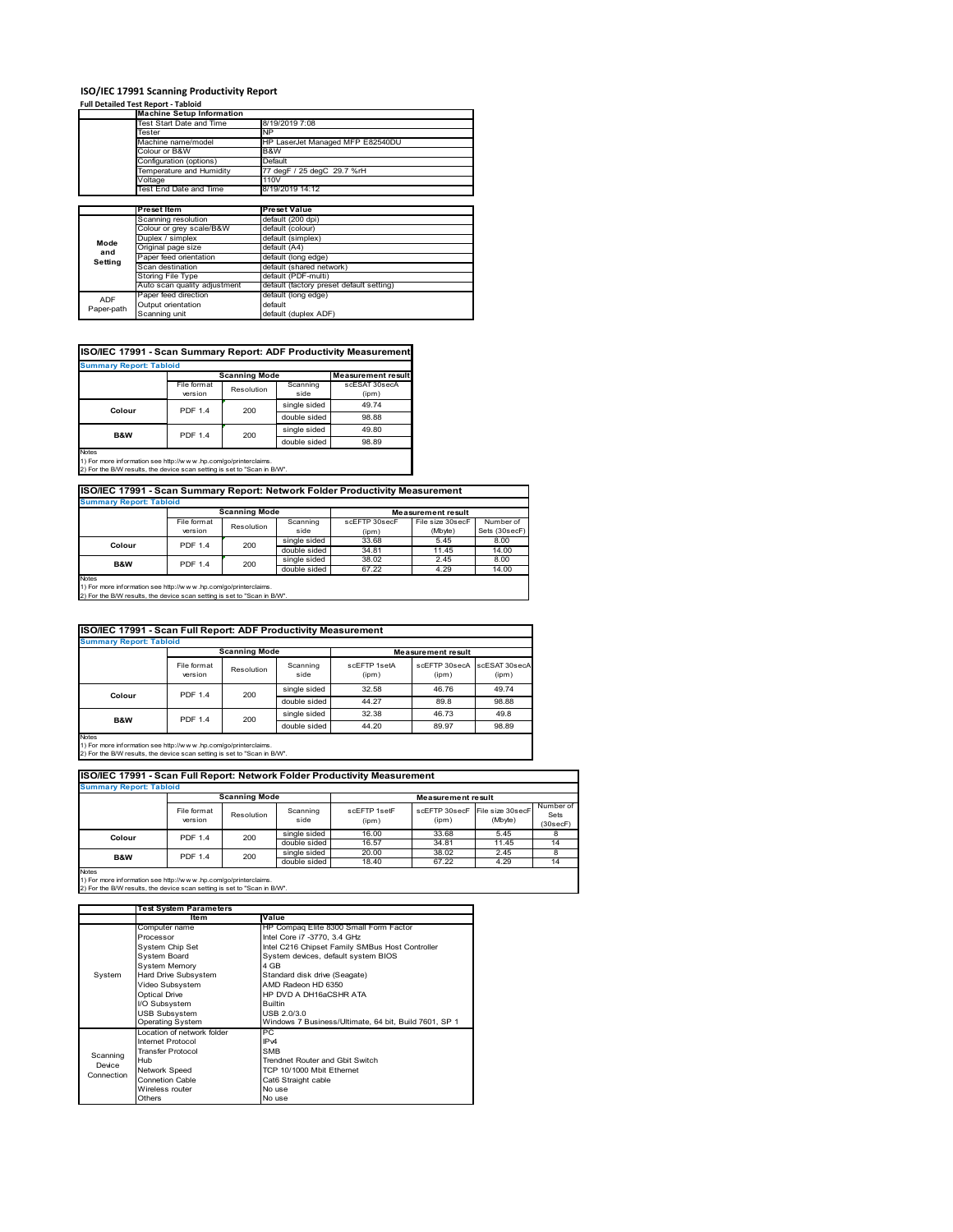#### **ISO/IEC 17991 Scanning Productivity Report**

**Full Detailed Test Report ‐ Tabloid**

ADF Paper-path

|         | <b>Machine Setup Information</b> |                                  |
|---------|----------------------------------|----------------------------------|
|         | Test Start Date and Time         | 8/19/2019 7:08                   |
|         | Tester                           | NΡ                               |
|         | Machine name/model               | HP LaserJet Managed MFP E82540DU |
|         | Colour or B&W                    | B&W                              |
|         | Configuration (options)          | Default                          |
|         | Temperature and Humidity         | 77 degF / 25 degC 29.7 %rH       |
|         | Voltage                          | 110V                             |
|         | Test End Date and Time           | 8/19/2019 14:12                  |
|         |                                  |                                  |
|         |                                  |                                  |
|         | <b>Preset Item</b>               | <b>Preset Value</b>              |
|         | Scanning resolution              | default (200 dpi)                |
|         | Colour or grey scale/B&W         | default (colour)                 |
|         | Duplex / simplex                 | default (simplex)                |
| Mode    | Original page size               | default (A4)                     |
| and     | Paper feed orientation           | default (long edge)              |
| Setting | Scan destination                 | default (shared network)         |
|         | Storing File Type                | default (PDF-multi)              |

| ISO/IEC 17991 - Scan Summary Report: ADF Productivity Measurement |                |                      |              |                           |
|-------------------------------------------------------------------|----------------|----------------------|--------------|---------------------------|
| <b>Summary Report: Tabloid</b>                                    |                |                      |              |                           |
|                                                                   |                | <b>Scanning Mode</b> |              | <b>Measurement result</b> |
|                                                                   | File format    | Resolution           | Scanning     | scESAT 30secA             |
|                                                                   | version        |                      | side         | $(i$ <sub>pm</sub> $)$    |
| Colour                                                            | <b>PDF 1.4</b> | 200                  | single sided | 49.74                     |
|                                                                   |                |                      | .            | 0000                      |

Paper feed direction default (long edge) Output orientation default

|                                                                                 |                |     | double sided | 98.88 |  |  |
|---------------------------------------------------------------------------------|----------------|-----|--------------|-------|--|--|
| B&W                                                                             | <b>PDF 1.4</b> | 200 | single sided | 49.80 |  |  |
|                                                                                 |                |     | double sided | 98.89 |  |  |
| <b>Notes</b><br>1) For more information see http://www.hp.com/go/printerclaims. |                |     |              |       |  |  |

1) For more information see http://w w w .hp.com/go/printerclaims. 2) For the B/W results, the device scan setting is set to "Scan in B/W".

**Summary Report: Tabloid ISO/IEC 17991 - Scan Summary Report: Network Folder Productivity Measurement**

|                                                            |                | <b>Scanning Mode</b> |              | <b>Measurement result</b> |                  |               |
|------------------------------------------------------------|----------------|----------------------|--------------|---------------------------|------------------|---------------|
|                                                            | File format    | Resolution           | Scanning     | scEFTP 30secF             | File size 30secF | Number of     |
|                                                            | version        |                      | side         | (ipm)                     | (Mbyte)          | Sets (30secF) |
| Colour                                                     | <b>PDF 1.4</b> | 200                  | single sided | 33.68                     | 5.45             | 8.00          |
|                                                            |                |                      | double sided | 34.81                     | 11.45            | 14.00         |
| B&W                                                        | <b>PDF 1.4</b> | 200                  | single sided | 38.02                     | 2.45             | 8.00          |
|                                                            |                |                      | double sided | 67.22                     | 4.29             | 14.00         |
| <b>Notes</b><br><b>Contract Contract Contract Contract</b> |                |                      |              |                           |                  |               |

default (long edge)<br>default<br>default (duplex ADF)

Notes 1) For more information see http://w w w .hp.com/go/printerclaims. 2) For the B/W results, the device scan setting is set to "Scan in B/W".

|                                | ISO/IEC 17991 - Scan Full Report: ADF Productivity Measurement |                      |                  |                           |                        |                        |  |
|--------------------------------|----------------------------------------------------------------|----------------------|------------------|---------------------------|------------------------|------------------------|--|
| <b>Summary Report: Tabloid</b> |                                                                |                      |                  |                           |                        |                        |  |
|                                |                                                                | <b>Scanning Mode</b> |                  | <b>Measurement result</b> |                        |                        |  |
|                                | File format<br>version                                         | Resolution           | Scanning<br>side | scFFTP 1setA<br>(ipm)     | scFFTP 30secA<br>(ipm) | scFSAT 30secA<br>(ipm) |  |
| Colour                         | <b>PDF 1.4</b>                                                 |                      | single sided     | 32.58                     | 46.76                  | 49.74                  |  |
|                                | 200                                                            |                      | double sided     | 44.27                     | 89.8                   | 98.88                  |  |
| B&W                            | <b>PDF 1.4</b>                                                 | 200                  | single sided     | 32.38                     | 46.73                  | 49.8                   |  |
|                                |                                                                |                      | double sided     | 44.20                     | 89.97                  | 98.89                  |  |
| <b>Naton</b>                   |                                                                |                      |                  |                           |                        |                        |  |

Notes 1) For more information see http://w w w .hp.com/go/printerclaims. 2) For the B/W results, the device scan setting is set to "Scan in B/W".

| ISO/IEC 17991 - Scan Full Report: Network Folder Productivity Measurement |                        |                      |                  |                       |                           |                             |                               |
|---------------------------------------------------------------------------|------------------------|----------------------|------------------|-----------------------|---------------------------|-----------------------------|-------------------------------|
| <b>Summary Report: Tabloid</b>                                            |                        |                      |                  |                       |                           |                             |                               |
|                                                                           |                        | <b>Scanning Mode</b> |                  |                       | <b>Measurement result</b> |                             |                               |
|                                                                           | File format<br>version | Resolution           | Scanning<br>side | scFFTP 1setF<br>(ipm) | scEFTP 30secF<br>(ipm)    | File size 30secF<br>(Mbyte) | Number of<br>Sets<br>(30secF) |
| Colour                                                                    | <b>PDF 1.4</b>         | 200                  | single sided     | 16.00                 | 33.68                     | 5.45                        |                               |
|                                                                           |                        |                      | double sided     | 16.57                 | 34.81                     | 11.45                       | 14                            |
| <b>B&amp;W</b>                                                            | <b>PDF 1.4</b>         | 200                  | single sided     | 20.00                 | 38.02                     | 2.45                        | 8                             |
|                                                                           |                        |                      | double sided     | 18.40                 | 67.22                     | 4.29                        | 14                            |
| <b>Notes</b>                                                              |                        |                      |                  |                       |                           |                             |                               |

|            | <b>Test System Parameters</b> |                                                       |  |  |
|------------|-------------------------------|-------------------------------------------------------|--|--|
|            | <b>Item</b>                   | Value                                                 |  |  |
|            | Computer name                 | HP Compaq Elite 8300 Small Form Factor                |  |  |
|            | Processor                     | Intel Core i7 -3770, 3.4 GHz                          |  |  |
|            | System Chip Set               | Intel C216 Chipset Family SMBus Host Controller       |  |  |
|            | <b>System Board</b>           | System devices, default system BIOS                   |  |  |
|            | <b>System Memory</b>          | 4 GB                                                  |  |  |
| System     | Hard Drive Subsystem          | Standard disk drive (Seagate)                         |  |  |
|            | Video Subsystem               | AMD Radeon HD 6350                                    |  |  |
|            | <b>Optical Drive</b>          | HP DVD A DH16aCSHR ATA                                |  |  |
|            | I/O Subsystem                 | <b>Builtin</b>                                        |  |  |
|            | <b>USB Subsystem</b>          | USB 2.0/3.0                                           |  |  |
|            | <b>Operating System</b>       | Windows 7 Business/Ultimate, 64 bit, Build 7601, SP 1 |  |  |
|            | I ocation of network folder   | PC                                                    |  |  |
|            | Internet Protocol             | IP <sub>v4</sub>                                      |  |  |
| Scanning   | <b>Transfer Protocol</b>      | <b>SMB</b>                                            |  |  |
| Device     | Hub                           | Trendnet Router and Gbit Switch                       |  |  |
| Connection | Network Speed                 | TCP 10/1000 Mbit Ethernet                             |  |  |
|            | Connetion Cable               | Cat6 Straight cable                                   |  |  |
|            | Wireless router               | No use                                                |  |  |
|            | Others                        | No use                                                |  |  |